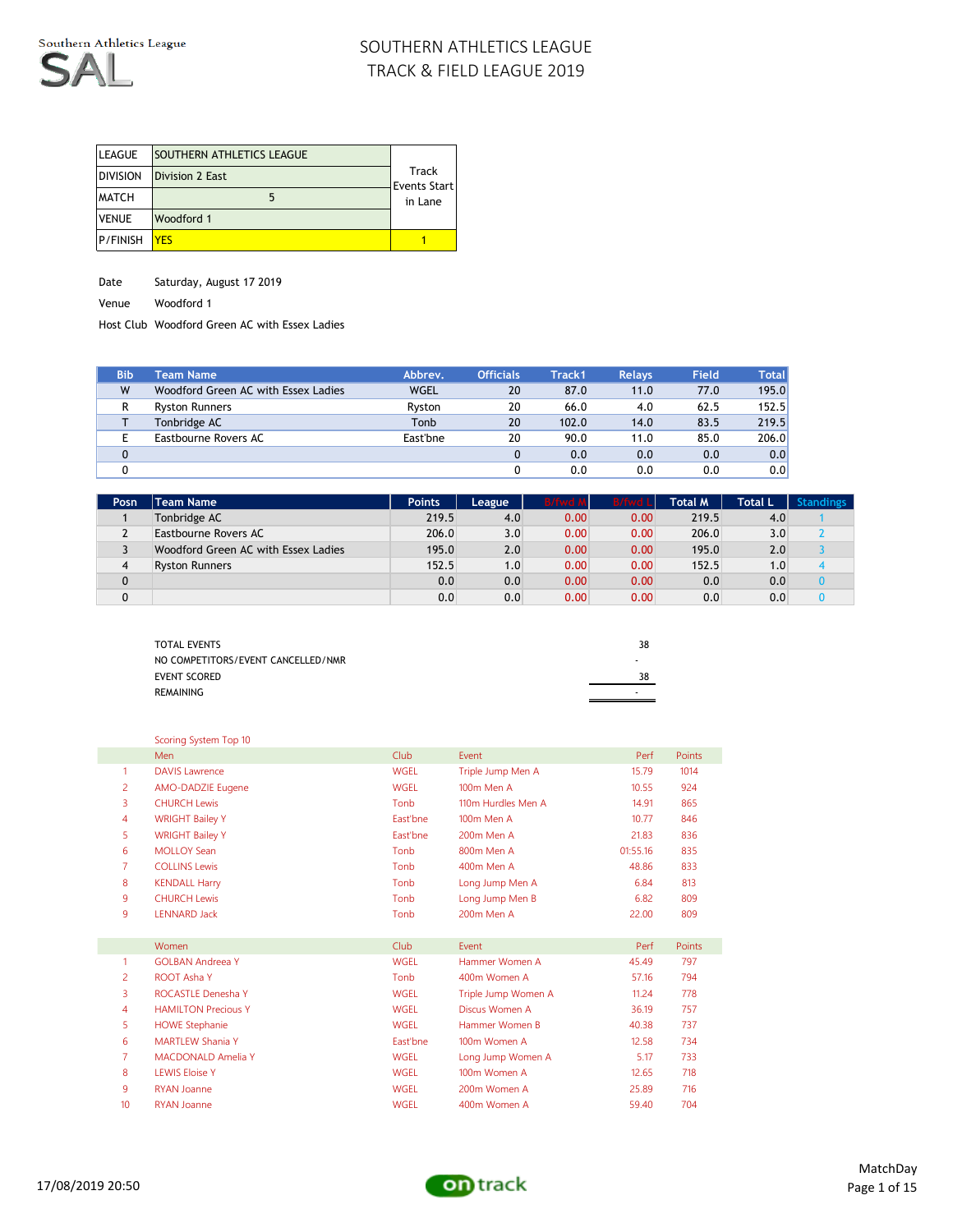

| <b>LEAGUE</b>   | <b>SOUTHERN ATHLETICS LEAGUE</b> |                       |
|-----------------|----------------------------------|-----------------------|
| <b>DIVISION</b> | Division 2 East                  | Track<br>Events Start |
| <b>MATCH</b>    |                                  | in Lane               |
| <b>VENUE</b>    | Woodford 1                       |                       |
| <b>P/FINISH</b> | YFS                              |                       |

Date Saturday, August 17 2019

Venue Woodford 1

Host Club Woodford Green AC with Essex Ladies

| <b>Bib</b>  | <b>Team Name</b>                    | Abbrev.     | <b>Officials</b> | Track1 | <b>Relays</b> | Field | Totall           |
|-------------|-------------------------------------|-------------|------------------|--------|---------------|-------|------------------|
| W           | Woodford Green AC with Essex Ladies | <b>WGEL</b> | 20               | 87.0   | 11.0          | 77.0  | 195.0            |
| R           | <b>Ryston Runners</b>               | Ryston      | 20               | 66.0   | 4.0           | 62.5  | 152.5            |
|             | Tonbridge AC                        | Tonb        | 20               | 102.0  | 14.0          | 83.5  | 219.5            |
|             | Eastbourne Rovers AC                | East'bne    | 20               | 90.0   | 11.0          | 85.0  | 206.0            |
| $\mathbf 0$ |                                     |             |                  | 0.0    | 0.0           | 0.0   | 0.0              |
|             |                                     |             |                  | 0.0    | 0.0           | 0.0   | 0.0 <sub>1</sub> |

| Posn     | Team Name                           | <b>Points</b> | League | B/fwd N | <b>B/fwd Ll</b> | Total M | <b>Total L</b> | <b>Standings</b> |
|----------|-------------------------------------|---------------|--------|---------|-----------------|---------|----------------|------------------|
|          | Tonbridge AC                        | 219.5         | 4.0    | 0.00    | 0.00            | 219.5   | 4.0            |                  |
| <u>.</u> | Eastbourne Rovers AC                | 206.0         | 3.0    | 0.00    | 0.00            | 206.0   | 3.0            |                  |
| ◡        | Woodford Green AC with Essex Ladies | 195.0         | 2.0    | 0.00    | 0.00            | 195.0   | 2.0            |                  |
| 4        | <b>Ryston Runners</b>               | 152.5         | 1.0    | 0.00    | 0.00            | 152.5   | 1.0            |                  |
| 0        |                                     | 0.0           | 0.0    | 0.00    | 0.00            | 0.0     | 0.0            |                  |
| 0        |                                     | 0.0           | 0.0    | 0.00    | 0.00            | 0.0     | 0.0            |                  |

| <b>TOTAL EVENTS</b>                | 38 |
|------------------------------------|----|
| NO COMPETITORS/EVENT CANCELLED/NMR |    |
| EVENT SCORED                       | 38 |
| REMAINING                          | ۰  |
|                                    |    |

| Scoring System Top 10 |  |  |
|-----------------------|--|--|
|                       |  |  |

|                | Men                        | Club        | Event               | Perf     | Points |
|----------------|----------------------------|-------------|---------------------|----------|--------|
| $\mathbf{1}$   | <b>DAVIS Lawrence</b>      | <b>WGEL</b> | Triple Jump Men A   | 15.79    | 1014   |
| 2              | AMO-DADZIE Eugene          | <b>WGEL</b> | 100m Men A          | 10.55    | 924    |
| 3              | <b>CHURCH Lewis</b>        | Tonb        | 110m Hurdles Men A  | 14.91    | 865    |
| 4              | <b>WRIGHT Bailey Y</b>     | East'bne    | 100m Men A          | 10.77    | 846    |
| 5              | <b>WRIGHT Bailey Y</b>     | East'bne    | 200m Men A          | 21.83    | 836    |
| 6              | <b>MOLLOY Sean</b>         | Tonb        | 800m Men A          | 01:55.16 | 835    |
| $\overline{7}$ | <b>COLLINS Lewis</b>       | Tonb        | 400m Men A          | 48.86    | 833    |
| 8              | <b>KENDALL Harry</b>       | Tonb        | Long Jump Men A     | 6.84     | 813    |
| 9              | <b>CHURCH Lewis</b>        | Tonb        | Long Jump Men B     | 6.82     | 809    |
| 9              | <b>LENNARD Jack</b>        | Tonb        | 200m Men A          | 22.00    | 809    |
|                |                            |             |                     |          |        |
|                | Women                      | <b>Club</b> | Fvent               | Perf     | Points |
| 1              | <b>GOLBAN Andreea Y</b>    | <b>WGEL</b> | Hammer Women A      | 45.49    | 797    |
| 2              | <b>ROOT Asha Y</b>         | Tonb        | 400m Women A        | 57.16    | 794    |
| 3              | ROCASTLE Denesha Y         | <b>WGEL</b> | Triple Jump Women A | 11.24    | 778    |
| 4              | <b>HAMILTON Precious Y</b> | <b>WGEL</b> | Discus Women A      | 36.19    | 757    |
| 5              | <b>HOWE Stephanie</b>      | <b>WGEL</b> | Hammer Women B      | 40.38    | 737    |
| 6              | <b>MARTI FW Shania Y</b>   | East'bne    | 100m Women A        | 12.58    | 734    |
| $\overline{7}$ | <b>MACDONALD Amelia Y</b>  | <b>WGEL</b> | Long Jump Women A   | 5.17     | 733    |
| 8              | <b>LEWIS Eloise Y</b>      | <b>WGEL</b> | 100m Women A        | 12.65    | 718    |
| 9              | <b>RYAN Joanne</b>         | <b>WGEL</b> | 200m Women A        | 25.89    | 716    |
| 10             | <b>RYAN Joanne</b>         | <b>WGEL</b> | 400m Women A        | 59.40    | 704    |

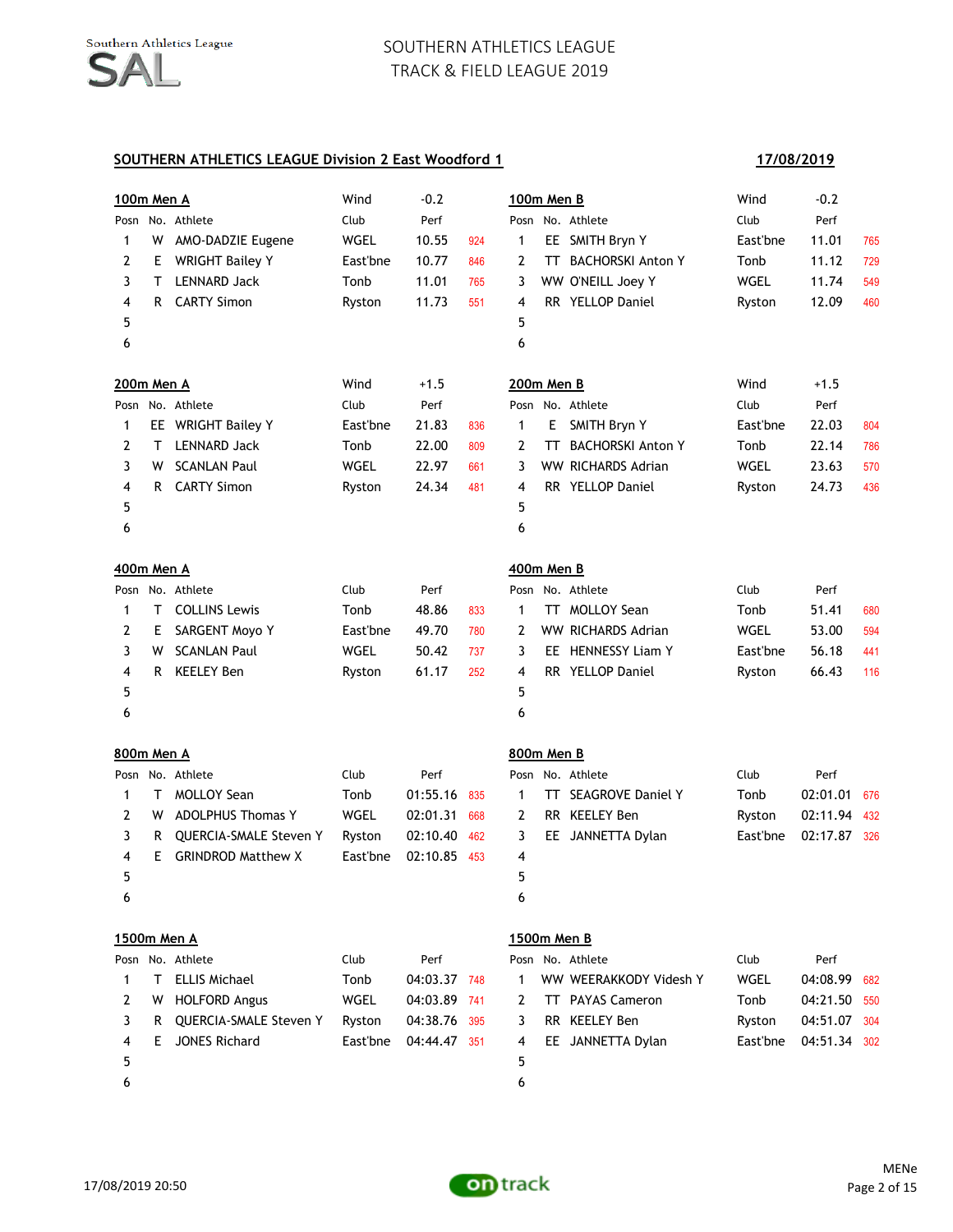| <u>100m Men A</u> |    |                           | Wind        | $-0.2$       |     | 100m Men B  |     |                           | Wind     | $-0.2$       |     |
|-------------------|----|---------------------------|-------------|--------------|-----|-------------|-----|---------------------------|----------|--------------|-----|
| Posn              |    | No. Athlete               | Club        | Perf         |     |             |     | Posn No. Athlete          | Club     | Perf         |     |
| 1                 | W  | AMO-DADZIE Eugene         | WGEL        | 10.55        | 924 | 1           |     | EE SMITH Bryn Y           | East'bne | 11.01        | 765 |
| 2                 | E. | <b>WRIGHT Bailey Y</b>    | East'bne    | 10.77        | 846 | 2           | TT. | <b>BACHORSKI Anton Y</b>  | Tonb     | 11.12        | 729 |
| 3                 | Τ  | <b>LENNARD Jack</b>       | Tonb        | 11.01        | 765 | 3           |     | WW O'NEILL Joey Y         | WGEL     | 11.74        | 549 |
| 4                 | R  | <b>CARTY Simon</b>        | Ryston      | 11.73        | 551 | 4           |     | RR YELLOP Daniel          | Ryston   | 12.09        | 460 |
| 5                 |    |                           |             |              |     | 5           |     |                           |          |              |     |
| 6                 |    |                           |             |              |     | 6           |     |                           |          |              |     |
| 200m Men A        |    |                           | Wind        | $+1.5$       |     | 200m Men B  |     |                           | Wind     | $+1.5$       |     |
| Posn              |    | No. Athlete               | Club        | Perf         |     |             |     | Posn No. Athlete          | Club     | Perf         |     |
| 1                 |    | EE WRIGHT Bailey Y        | East'bne    | 21.83        | 836 | 1           | E.  | SMITH Bryn Y              | East'bne | 22.03        | 804 |
| 2                 | Τ  | <b>LENNARD Jack</b>       | Tonb        | 22.00        | 809 | 2           | TΤ  | <b>BACHORSKI Anton Y</b>  | Tonb     | 22.14        | 786 |
| 3                 | w  | <b>SCANLAN Paul</b>       | WGEL        | 22.97        | 661 | 3           |     | WW RICHARDS Adrian        | WGEL     | 23.63        | 570 |
| 4                 | R  | <b>CARTY Simon</b>        | Ryston      | 24.34        | 481 | 4           |     | RR YELLOP Daniel          | Ryston   | 24.73        | 436 |
| 5                 |    |                           |             |              |     | 5           |     |                           |          |              |     |
| 6                 |    |                           |             |              |     | 6           |     |                           |          |              |     |
| 400m Men A        |    |                           |             |              |     | 400m Men B  |     |                           |          |              |     |
|                   |    | Posn No. Athlete          | Club        | Perf         |     |             |     | Posn No. Athlete          | Club     | Perf         |     |
| 1                 | Τ  | <b>COLLINS Lewis</b>      | Tonb        | 48.86        | 833 | 1           | TT. | <b>MOLLOY Sean</b>        | Tonb     | 51.41        | 680 |
| 2                 | E. | SARGENT Moyo Y            | East'bne    | 49.70        | 780 | 2           |     | <b>WW RICHARDS Adrian</b> | WGEL     | 53.00        | 594 |
| 3                 | w  | <b>SCANLAN Paul</b>       | <b>WGEL</b> | 50.42        | 737 | 3           |     | EE HENNESSY Liam Y        | East'bne | 56.18        | 441 |
| 4                 | R  | <b>KEELEY Ben</b>         | Ryston      | 61.17        | 252 | 4           |     | RR YELLOP Daniel          | Ryston   | 66.43        | 116 |
| 5                 |    |                           |             |              |     | 5           |     |                           |          |              |     |
| 6                 |    |                           |             |              |     | 6           |     |                           |          |              |     |
| 800m Men A        |    |                           |             |              |     | 800m Men B  |     |                           |          |              |     |
|                   |    | Posn No. Athlete          | Club        | Perf         |     |             |     | Posn No. Athlete          | Club     | Perf         |     |
| 1                 | Τ  | <b>MOLLOY Sean</b>        | Tonb        | 01:55.16     | 835 | 1           |     | TT SEAGROVE Daniel Y      | Tonb     | 02:01.01     | 676 |
| 2                 | W  | <b>ADOLPHUS Thomas Y</b>  | WGEL        | 02:01.31     | 668 | 2           |     | RR KEELEY Ben             | Ryston   | 02:11.94     | 432 |
| 3                 | R  | QUERCIA-SMALE Steven Y    | Ryston      | 02:10.40     | 462 | 3           |     | EE JANNETTA Dylan         | East'bne | 02:17.87     | 326 |
| 4                 | E. | <b>GRINDROD Matthew X</b> | East'bne    | 02:10.85     | 453 | 4           |     |                           |          |              |     |
| 5                 |    |                           |             |              |     | 5           |     |                           |          |              |     |
| 6                 |    |                           |             |              |     | 6           |     |                           |          |              |     |
|                   |    | 1500m Men A               |             |              |     | 1500m Men B |     |                           |          |              |     |
|                   |    | Posn No. Athlete          | Club        | Perf         |     |             |     | Posn No. Athlete          | Club     | Perf         |     |
| 1                 | Τ  | <b>ELLIS Michael</b>      | Tonb        | 04:03.37     | 748 | 1           |     | WW WEERAKKODY Videsh Y    | WGEL     | 04:08.99     | 682 |
| 2                 | w  | <b>HOLFORD Angus</b>      | WGEL        | 04:03.89     | 741 | 2           |     | TT PAYAS Cameron          | Tonb     | 04:21.50     | 550 |
| 3                 | R  | QUERCIA-SMALE Steven Y    | Ryston      | 04:38.76     | 395 | 3           |     | RR KEELEY Ben             | Ryston   | 04:51.07     | 304 |
| 4                 | Е  | <b>JONES Richard</b>      | East'bne    | 04:44.47 351 |     | 4           |     | EE JANNETTA Dylan         | East'bne | 04:51.34 302 |     |
| 5                 |    |                           |             |              |     | 5           |     |                           |          |              |     |
| 6                 |    |                           |             |              |     | 6           |     |                           |          |              |     |

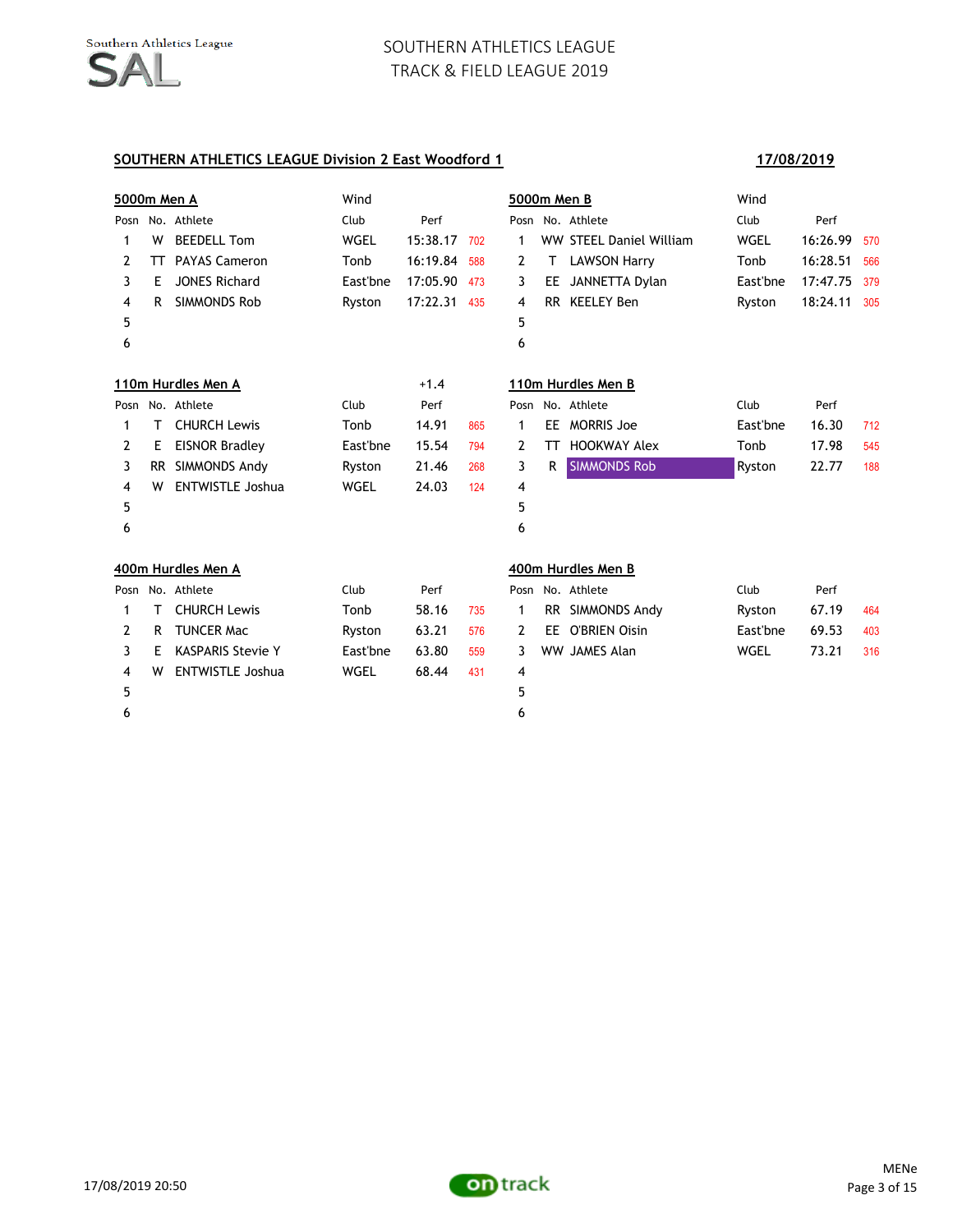| <b>5000m Men A</b> |     |                          | Wind        |          |     | 5000m Men B |     |                         | Wind     |          |     |
|--------------------|-----|--------------------------|-------------|----------|-----|-------------|-----|-------------------------|----------|----------|-----|
|                    |     | Posn No. Athlete         | Club        | Perf     |     |             |     | Posn No. Athlete        | Club     | Perf     |     |
| 1                  | W   | <b>BEEDELL Tom</b>       | WGEL        | 15:38.17 | 702 | 1           |     | WW STEEL Daniel William | WGEL     | 16:26.99 | 570 |
| 2                  | TΤ  | <b>PAYAS Cameron</b>     | Tonb        | 16:19.84 | 588 | 2           | T   | <b>LAWSON Harry</b>     | Tonb     | 16:28.51 | 566 |
| 3                  | Е   | <b>JONES Richard</b>     | East'bne    | 17:05.90 | 473 | 3           | EE. | JANNETTA Dylan          | East'bne | 17:47.75 | 379 |
| 4                  | R   | <b>SIMMONDS Rob</b>      | Ryston      | 17:22.31 | 435 | 4           |     | RR KEELEY Ben           | Ryston   | 18:24.11 | 305 |
| 5                  |     |                          |             |          |     | 5           |     |                         |          |          |     |
| 6                  |     |                          |             |          |     | 6           |     |                         |          |          |     |
|                    |     | 110m Hurdles Men A       |             | $+1.4$   |     |             |     | 110m Hurdles Men B      |          |          |     |
| Posn               |     | No. Athlete              | Club        | Perf     |     |             |     | Posn No. Athlete        | Club     | Perf     |     |
| 1                  | т   | <b>CHURCH Lewis</b>      | Tonb        | 14.91    | 865 | 1           | EE. | <b>MORRIS Joe</b>       | East'bne | 16.30    | 712 |
| 2                  | Е   | <b>EISNOR Bradley</b>    | East'bne    | 15.54    | 794 | 2           | TΤ  | <b>HOOKWAY Alex</b>     | Tonb     | 17.98    | 545 |
| 3                  | RR. | SIMMONDS Andy            | Ryston      | 21.46    | 268 | 3           | R   | <b>SIMMONDS Rob</b>     | Ryston   | 22.77    | 188 |
| 4                  | w   | <b>ENTWISTLE Joshua</b>  | WGEL        | 24.03    | 124 | 4           |     |                         |          |          |     |
| 5                  |     |                          |             |          |     | 5           |     |                         |          |          |     |
| 6                  |     |                          |             |          |     | 6           |     |                         |          |          |     |
|                    |     | 400m Hurdles Men A       |             |          |     |             |     | 400m Hurdles Men B      |          |          |     |
| Posn               |     | No. Athlete              | Club        | Perf     |     |             |     | Posn No. Athlete        | Club     | Perf     |     |
| 1                  | т   | <b>CHURCH Lewis</b>      | Tonb        | 58.16    | 735 | 1           |     | RR SIMMONDS Andy        | Ryston   | 67.19    | 464 |
| 2                  | R   | <b>TUNCER Mac</b>        | Ryston      | 63.21    | 576 | 2           | EE. | <b>O'BRIEN Oisin</b>    | East'bne | 69.53    | 403 |
| 3                  | Е   | <b>KASPARIS Stevie Y</b> | East'bne    | 63.80    | 559 | 3           |     | <b>WW JAMES Alan</b>    | WGEL     | 73.21    | 316 |
| 4                  | w   | <b>ENTWISTLE Joshua</b>  | <b>WGEL</b> | 68.44    | 431 | 4           |     |                         |          |          |     |
| 5                  |     |                          |             |          |     | 5           |     |                         |          |          |     |
| 6                  |     |                          |             |          |     | 6           |     |                         |          |          |     |

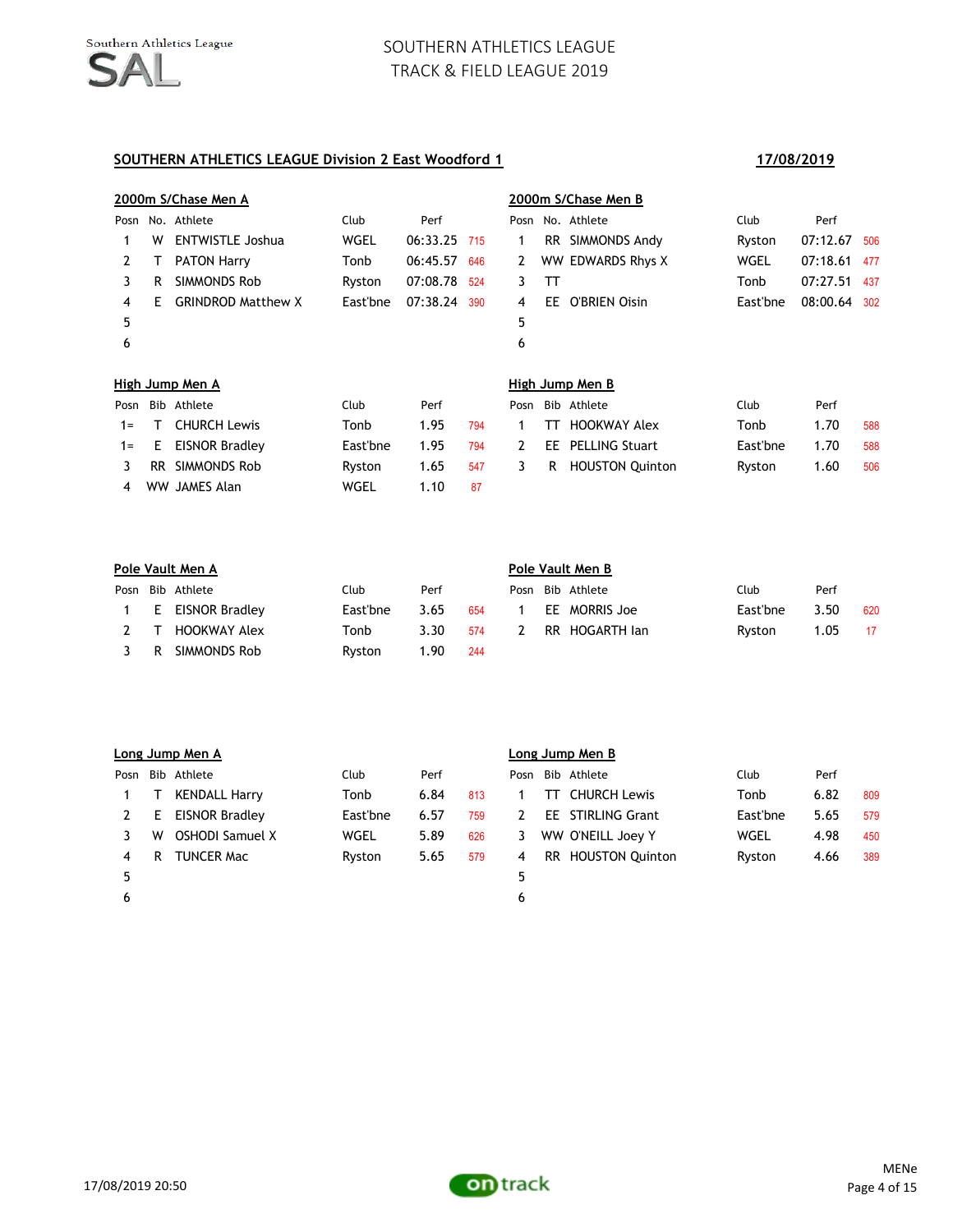|       |    | 2000m S/Chase Men A       |             |              |     |      |     | 2000m S/Chase Men B    |          |          |     |
|-------|----|---------------------------|-------------|--------------|-----|------|-----|------------------------|----------|----------|-----|
| Posn  |    | No. Athlete               | <b>Club</b> | Perf         |     |      |     | Posn No. Athlete       | Club     | Perf     |     |
|       | w  | <b>ENTWISTLE Joshua</b>   | WGEL        | 06:33.25 715 |     | 1    |     | RR SIMMONDS Andy       | Ryston   | 07:12.67 | 506 |
| 2     | Т  | <b>PATON Harry</b>        | Tonb        | 06:45.57     | 646 | 2    |     | WW EDWARDS Rhys X      | WGEL     | 07:18.61 | 477 |
| 3     | R  | SIMMONDS Rob              | Ryston      | 07:08.78     | 524 | 3    | TΤ  |                        | Tonb     | 07:27.51 | 437 |
| 4     | F  | <b>GRINDROD Matthew X</b> | East'bne    | 07:38.24     | 390 | 4    | EE. | O'BRIEN Oisin          | East'bne | 08:00.64 | 302 |
| 5     |    |                           |             |              |     | 5    |     |                        |          |          |     |
| 6     |    |                           |             |              |     | 6    |     |                        |          |          |     |
|       |    | High Jump Men A           |             |              |     |      |     | High Jump Men B        |          |          |     |
| Posn  |    | Bib Athlete               | <b>Club</b> | Perf         |     | Posn |     | Bib Athlete            | Club     | Perf     |     |
| $1 =$ | л. | <b>CHURCH Lewis</b>       | Tonb        | 1.95         | 794 | 1    | тт  | <b>HOOKWAY Alex</b>    | Tonb     | 1.70     | 588 |
| $1 =$ | E  | <b>EISNOR Bradley</b>     | East'bne    | 1.95         | 794 | 2    | EE  | <b>PELLING Stuart</b>  | East'bne | 1.70     | 588 |
| 3     | RR | SIMMONDS Rob              | Ryston      | 1.65         | 547 | 3    | R   | <b>HOUSTON Quinton</b> | Ryston   | 1.60     | 506 |
| 4     |    | WW JAMES Alan             | WGEL        | 1.10         | 87  |      |     |                        |          |          |     |

| Pole Vault Men A |                  |          |      |     |              |  | Pole Vault Men B |          |      |     |  |  |  |  |
|------------------|------------------|----------|------|-----|--------------|--|------------------|----------|------|-----|--|--|--|--|
|                  | Posn Bib Athlete | Club     | Perf |     |              |  | Posn Bib Athlete | Club     | Perf |     |  |  |  |  |
|                  | E EISNOR Bradley | East'bne | 3.65 | 654 |              |  | EE MORRIS Joe    | East'bne | 3.50 | 620 |  |  |  |  |
|                  | HOOKWAY Alex     | Tonb     | 3.30 | 574 | <sup>2</sup> |  | RR HOGARTH Ian   | Ryston   | 1.05 | 17  |  |  |  |  |
| R                | SIMMONDS Rob     | Ryston   | 1.90 | 244 |              |  |                  |          |      |     |  |  |  |  |

|      |   | Long Jump Men A       |          |      |     | Long Jump Men B |     |                        |          |      |     |  |  |
|------|---|-----------------------|----------|------|-----|-----------------|-----|------------------------|----------|------|-----|--|--|
| Posn |   | Bib Athlete           | Club     | Perf |     | Posn            |     | Bib Athlete            | Club     | Perf |     |  |  |
|      |   | <b>KENDALL Harry</b>  | Tonb     | 6.84 | 813 |                 |     | <b>CHURCH Lewis</b>    | Tonb     | 6.82 | 809 |  |  |
|      | Е | <b>EISNOR Bradley</b> | East'bne | 6.57 | 759 | 2               |     | EE STIRLING Grant      | East'bne | 5.65 | 579 |  |  |
|      | w | OSHODI Samuel X       | WGEL     | 5.89 | 626 | 3.              |     | WW O'NEILL Joey Y      | WGEL     | 4.98 | 450 |  |  |
| 4    | R | <b>TUNCER Mac</b>     | Ryston   | 5.65 | 579 | 4               | RR. | <b>HOUSTON Ouinton</b> | Ryston   | 4.66 | 389 |  |  |
| 5    |   |                       |          |      |     | 5.              |     |                        |          |      |     |  |  |
| 6    |   |                       |          |      |     | 6               |     |                        |          |      |     |  |  |

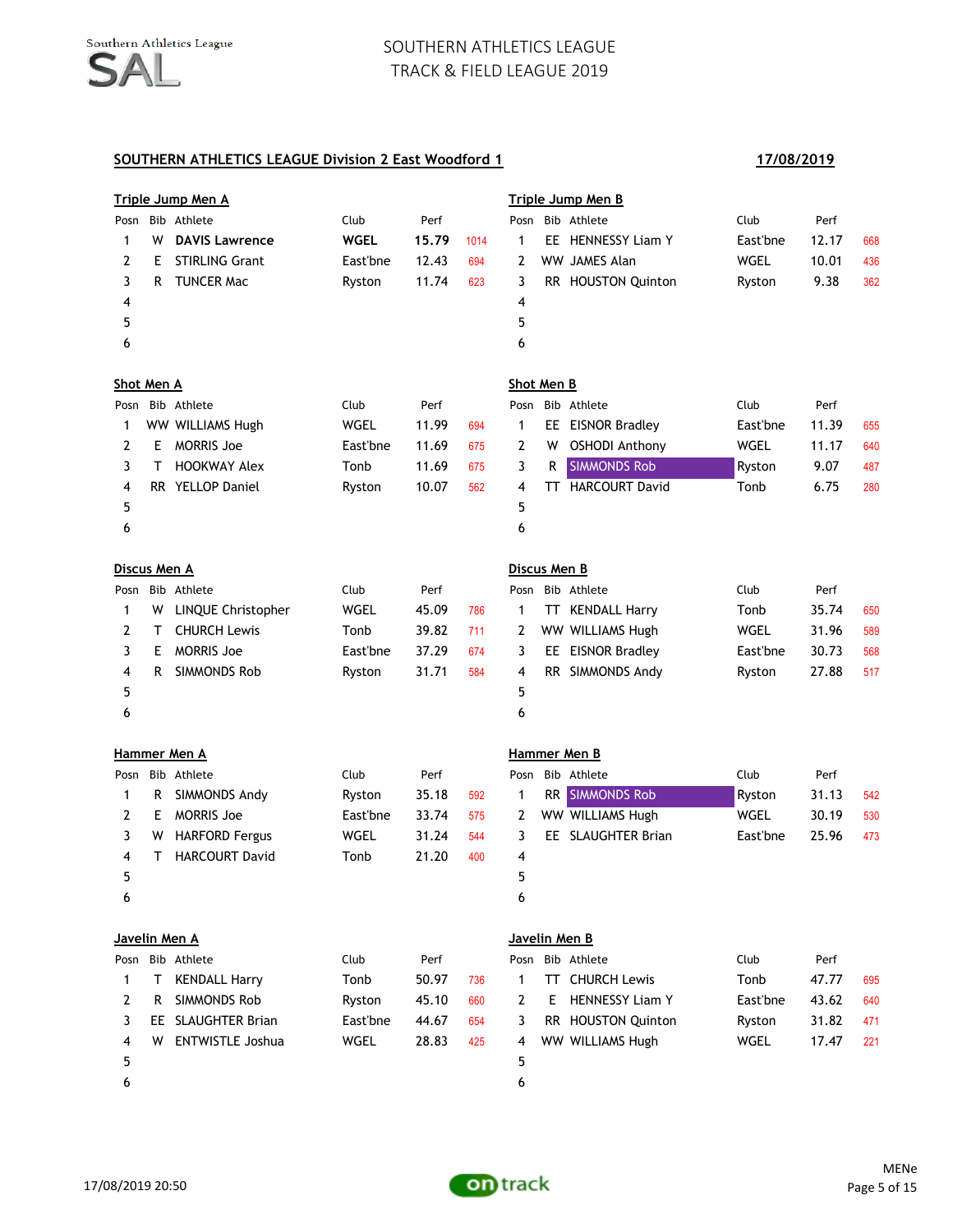|                     |    | <u>Triple Jump Men A</u> |             |       |      |              |    | <b>Triple Jump Men B</b> |          |       |     |
|---------------------|----|--------------------------|-------------|-------|------|--------------|----|--------------------------|----------|-------|-----|
| Posn                |    | Bib Athlete              | Club        | Perf  |      |              |    | Posn Bib Athlete         | Club     | Perf  |     |
| 1                   | W  | <b>DAVIS Lawrence</b>    | <b>WGEL</b> | 15.79 | 1014 | 1            |    | EE HENNESSY Liam Y       | East'bne | 12.17 | 668 |
| 2                   | Е  | <b>STIRLING Grant</b>    | East'bne    | 12.43 | 694  | 2            |    | WW JAMES Alan            | WGEL     | 10.01 | 436 |
| 3                   | R. | <b>TUNCER Mac</b>        | Ryston      | 11.74 | 623  | 3            |    | RR HOUSTON Quinton       | Ryston   | 9.38  | 362 |
| 4                   |    |                          |             |       |      | 4            |    |                          |          |       |     |
| 5                   |    |                          |             |       |      | 5            |    |                          |          |       |     |
| 6                   |    |                          |             |       |      | 6            |    |                          |          |       |     |
| Shot Men A          |    |                          |             |       |      | Shot Men B   |    |                          |          |       |     |
| Posn                |    | Bib Athlete              | Club        | Perf  |      | Posn         |    | Bib Athlete              | Club     | Perf  |     |
| 1                   |    | WW WILLIAMS Hugh         | WGEL        | 11.99 | 694  | 1            |    | EE EISNOR Bradley        | East'bne | 11.39 | 655 |
| 2                   | E. | <b>MORRIS Joe</b>        | East'bne    | 11.69 | 675  | 2            | W  | <b>OSHODI Anthony</b>    | WGEL     | 11.17 | 640 |
| 3                   | Τ  | <b>HOOKWAY Alex</b>      | Tonb        | 11.69 | 675  | 3            | R  | <b>SIMMONDS Rob</b>      | Ryston   | 9.07  | 487 |
| 4                   |    | RR YELLOP Daniel         | Ryston      | 10.07 | 562  | 4            |    | TT HARCOURT David        | Tonb     | 6.75  | 280 |
| 5                   |    |                          |             |       |      | 5            |    |                          |          |       |     |
| 6                   |    |                          |             |       |      | 6            |    |                          |          |       |     |
| <u>Discus Men A</u> |    |                          |             |       |      | Discus Men B |    |                          |          |       |     |
| Posn                |    | Bib Athlete              | Club        | Perf  |      |              |    | Posn Bib Athlete         | Club     | Perf  |     |
| 1                   | W  | LINQUE Christopher       | WGEL        | 45.09 | 786  | 1            |    | TT KENDALL Harry         | Tonb     | 35.74 | 650 |
| 2                   | Τ  | <b>CHURCH Lewis</b>      | Tonb        | 39.82 | 711  | 2            |    | WW WILLIAMS Hugh         | WGEL     | 31.96 | 589 |
| 3                   | E. | <b>MORRIS Joe</b>        | East'bne    | 37.29 | 674  | 3            |    | EE EISNOR Bradley        | East'bne | 30.73 | 568 |
| 4                   | R  | SIMMONDS Rob             | Ryston      | 31.71 | 584  | 4            |    | RR SIMMONDS Andy         | Ryston   | 27.88 | 517 |
| 5                   |    |                          |             |       |      | 5            |    |                          |          |       |     |
| 6                   |    |                          |             |       |      | 6            |    |                          |          |       |     |
|                     |    | Hammer Men A             |             |       |      |              |    | Hammer Men B             |          |       |     |
| Posn                |    | Bib Athlete              | Club        | Perf  |      |              |    | Posn Bib Athlete         | Club     | Perf  |     |
| 1                   | R. | SIMMONDS Andy            | Ryston      | 35.18 | 592  | 1            |    | RR SIMMONDS Rob          | Ryston   | 31.13 | 542 |
| 2                   | E. | <b>MORRIS Joe</b>        | East'bne    | 33.74 | 575  | 2            |    | WW WILLIAMS Hugh         | WGEL     | 30.19 | 530 |
| 3                   | W  | <b>HARFORD Fergus</b>    | WGEL        | 31.24 | 544  | 3            |    | EE SLAUGHTER Brian       | East'bne | 25.96 | 473 |
| 4                   | т  | <b>HARCOURT David</b>    | Tonb        | 21.20 | 400  | 4            |    |                          |          |       |     |
| 5                   |    |                          |             |       |      | 5            |    |                          |          |       |     |
| 6                   |    |                          |             |       |      | 6            |    |                          |          |       |     |
|                     |    | Javelin Men A            |             |       |      |              |    | Javelin Men B            |          |       |     |
|                     |    | Posn Bib Athlete         | Club        | Perf  |      |              |    | Posn Bib Athlete         | Club     | Perf  |     |
| 1                   | T. | <b>KENDALL Harry</b>     | Tonb        | 50.97 | 736  | 1            |    | TT CHURCH Lewis          | Tonb     | 47.77 | 695 |
| 2                   | R. | SIMMONDS Rob             | Ryston      | 45.10 | 660  | 2            | E. | <b>HENNESSY Liam Y</b>   | East'bne | 43.62 | 640 |
| 3                   |    | EE SLAUGHTER Brian       | East'bne    | 44.67 | 654  | 3            |    | RR HOUSTON Quinton       | Ryston   | 31.82 | 471 |
| 4                   | W  | <b>ENTWISTLE Joshua</b>  | <b>WGEL</b> | 28.83 | 425  | 4            |    | WW WILLIAMS Hugh         | WGEL     | 17.47 | 221 |
| 5                   |    |                          |             |       |      | 5            |    |                          |          |       |     |
| 6                   |    |                          |             |       |      | 6            |    |                          |          |       |     |

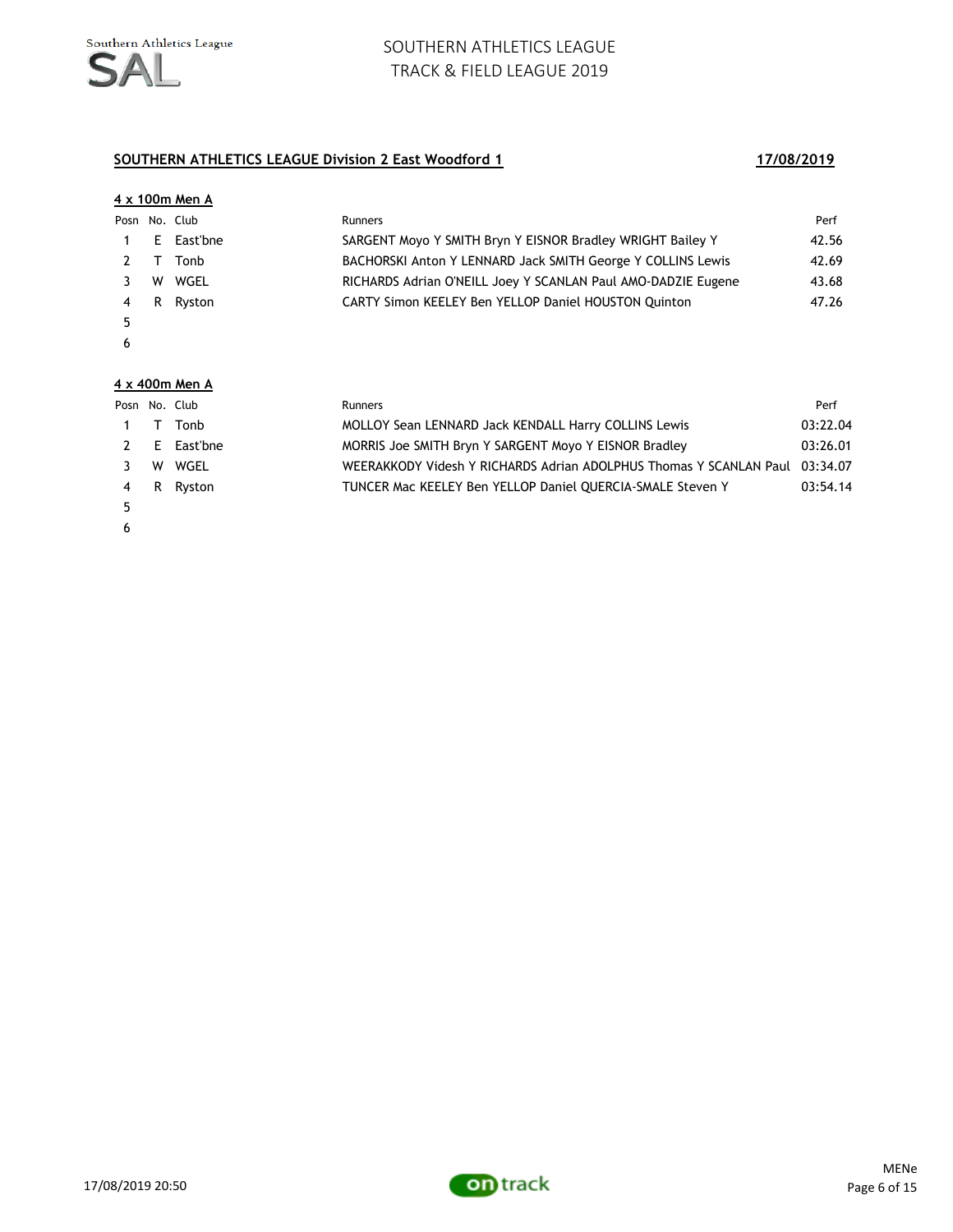### **SOUTHERN ATHLETICS LEAGUE Division 2 East Woodford 1 17/08/2019**

|   |    | 4 x 100m Men A |                                                               |       |
|---|----|----------------|---------------------------------------------------------------|-------|
|   |    | Posn No. Club  | <b>Runners</b>                                                | Perf  |
|   | E. | East'bne       | SARGENT Movo Y SMITH Bryn Y EISNOR Bradley WRIGHT Bailey Y    | 42.56 |
|   |    | Tonb           | BACHORSKI Anton Y LENNARD Jack SMITH George Y COLLINS Lewis   | 42.69 |
|   | w  | WGEL           | RICHARDS Adrian O'NEILL Joey Y SCANLAN Paul AMO-DADZIE Eugene | 43.68 |
| 4 | R  | Ryston         | CARTY Simon KEELEY Ben YELLOP Daniel HOUSTON Quinton          | 47.26 |
| 5 |    |                |                                                               |       |
| 6 |    |                |                                                               |       |
|   |    |                |                                                               |       |

#### **4 x 400m Men A**

|              |        | Posn No. Club | <b>Runners</b>                                                              | Perf     |
|--------------|--------|---------------|-----------------------------------------------------------------------------|----------|
| $\mathbf{1}$ | $\top$ | Tonb          | MOLLOY Sean LENNARD Jack KENDALL Harry COLLINS Lewis                        | 03:22.04 |
| 2            |        | E East'bne    | MORRIS Joe SMITH Bryn Y SARGENT Moyo Y EISNOR Bradley                       | 03:26.01 |
|              |        | W WGEL        | WEERAKKODY Videsh Y RICHARDS Adrian ADOLPHUS Thomas Y SCANLAN Paul 03:34.07 |          |
| 4            |        | R Ryston      | TUNCER Mac KEELEY Ben YELLOP Daniel QUERCIA-SMALE Steven Y                  | 03:54.14 |
| 5            |        |               |                                                                             |          |
| - 6          |        |               |                                                                             |          |

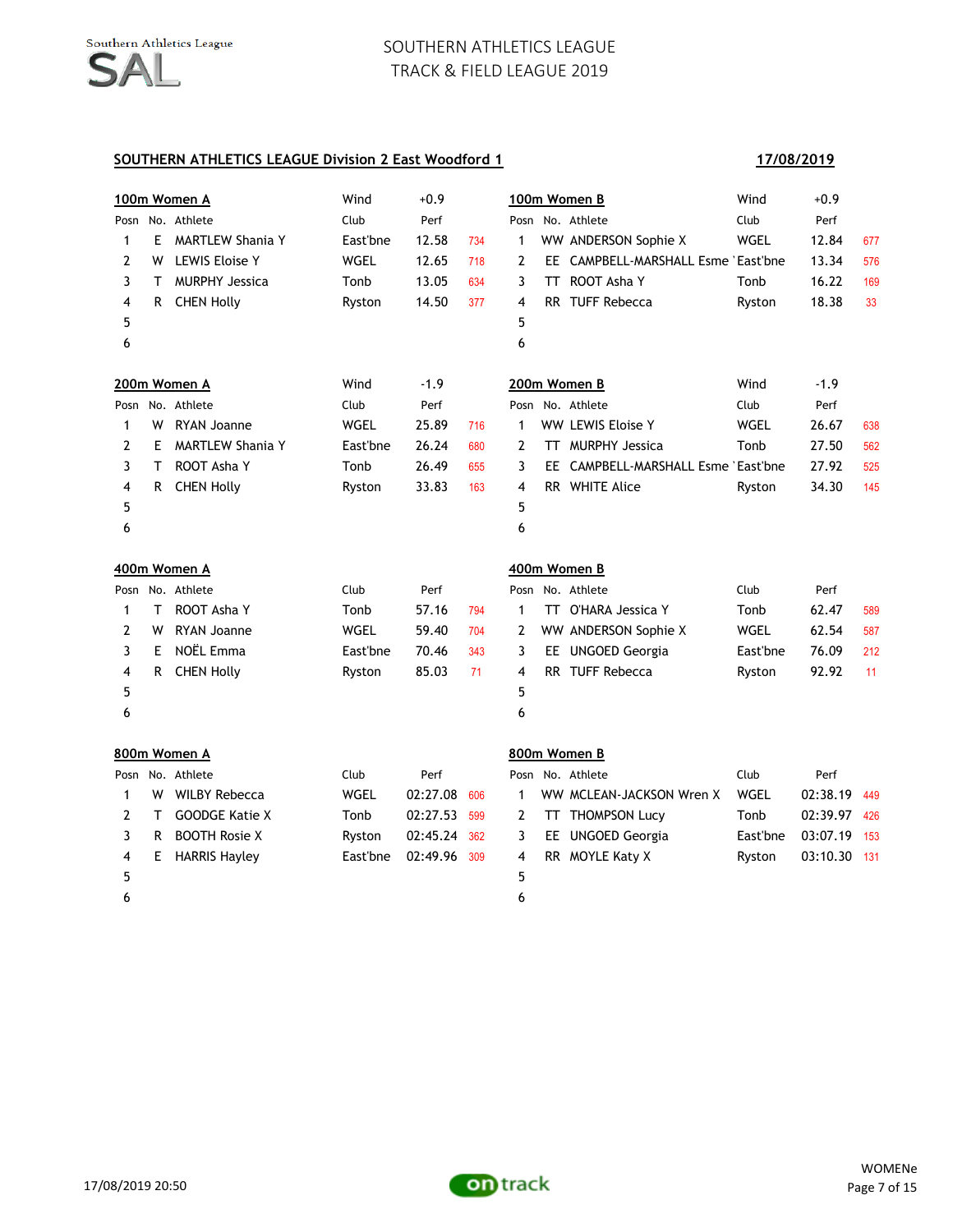#### **SOUTHERN ATHLETICS LEAGUE Division 2 East Woodford 1**

 $5$  5

## **100m Women A** Wind +0.9 **100m Women B** Wind +0.9 Posn No. Athlete **Club** Club Perf Posn No. Athlete **Club** Perf 1 E MARTLEW Shania Y East'bne 12.58 734 1 WW ANDERSON Sophie X WGEL 12.84 677 2 W LEWIS Eloise Y WGEL 12.65 718 2 EE CAMPBELL-MARSHALL Esme East'bne 13.34 576 3 T MURPHY Jessica Tonb 13.05 634 3 TT ROOT Asha Y Tonb 16.22 169 4 R CHEN Holly **Ryston** 14.50 377 4 RR TUFF Rebecca **Ryston** 18.38 33

**17/08/2019**

| 6    |    |                         |          |        |     | 6  |    |                                    |        |        |     |
|------|----|-------------------------|----------|--------|-----|----|----|------------------------------------|--------|--------|-----|
|      |    | 200m Women A            | Wind     | $-1.9$ |     |    |    | 200m Women B                       | Wind   | $-1.9$ |     |
| Posn |    | No. Athlete             | Club     | Perf   |     |    |    | Posn No. Athlete                   | Club   | Perf   |     |
|      | w  | RYAN Joanne             | WGEL     | 25.89  | 716 |    |    | WW LEWIS Eloise Y                  | WGEL   | 26.67  | 638 |
|      | F  | <b>MARTLEW Shania Y</b> | East'bne | 26.24  | 680 | 2  |    | <b>MURPHY Jessica</b>              | Tonb   | 27.50  | 562 |
| 3    |    | ROOT Asha Y             | Tonb     | 26.49  | 655 | 3. |    | EE CAMPBELL-MARSHALL Esme East'bne |        | 27.92  | 525 |
| 4    | R. | <b>CHEN Holly</b>       | Ryston   | 33.83  | 163 | 4  | RR | WHITE Alice                        | Ryston | 34.30  | 145 |
| 5    |    |                         |          |        |     | 5  |    |                                    |        |        |     |
| 6    |    |                         |          |        |     | 6  |    |                                    |        |        |     |

|   |   | 400m Women A      |          |       |     | 400m Women B |     |                      |          |       |     |  |
|---|---|-------------------|----------|-------|-----|--------------|-----|----------------------|----------|-------|-----|--|
|   |   | Posn No. Athlete  | Club     | Perf  |     |              |     | Posn No. Athlete     | Club     | Perf  |     |  |
|   | Л | ROOT Asha Y       | Tonb     | 57.16 | 794 |              | TT. | O'HARA Jessica Y     | Tonb     | 62.47 | 589 |  |
|   | w | RYAN Joanne       | WGEL     | 59.40 | 704 | 2            |     | WW ANDERSON Sophie X | WGEL     | 62.54 | 587 |  |
|   | F | NOËL Emma         | East'bne | 70.46 | 343 | 3            |     | EE UNGOED Georgia    | East'bne | 76.09 | 212 |  |
| 4 | R | <b>CHEN Holly</b> | Ryston   | 85.03 | 71  | -4           |     | RR TUFF Rebecca      | Ryston   | 92.92 | 11  |  |
| 5 |   |                   |          |       |     | 5            |     |                      |          |       |     |  |
| 6 |   |                   |          |       |     | 6            |     |                      |          |       |     |  |

|   |    | 800m Women A          |          |          |     | 800m Women B |  |                          |          |              |       |
|---|----|-----------------------|----------|----------|-----|--------------|--|--------------------------|----------|--------------|-------|
|   |    | Posn No. Athlete      | Club     | Perf     |     |              |  | Posn No. Athlete         | Club     | Perf         |       |
|   | w  | WILBY Rebecca         | WGEL     | 02:27.08 | 606 | 1            |  | WW MCLEAN-JACKSON Wren X | WGEL     | 02:38.19     | 449   |
|   |    | <b>GOODGE Katie X</b> | Tonb     | 02:27.53 | 599 | 2            |  | TT THOMPSON Lucy         | Tonb     | 02:39.97     | - 426 |
|   | R  | <b>BOOTH Rosie X</b>  | Ryston   | 02:45.24 | 362 | 3            |  | EE UNGOED Georgia        | East'bne | 03:07.19 153 |       |
| 4 | E. | <b>HARRIS Havley</b>  | East'bne | 02:49.96 | 309 | 4            |  | RR MOYLE Katy X          | Ryston   | 03:10.30 131 |       |
| 5 |    |                       |          |          |     | 5.           |  |                          |          |              |       |
| 6 |    |                       |          |          |     | 6            |  |                          |          |              |       |

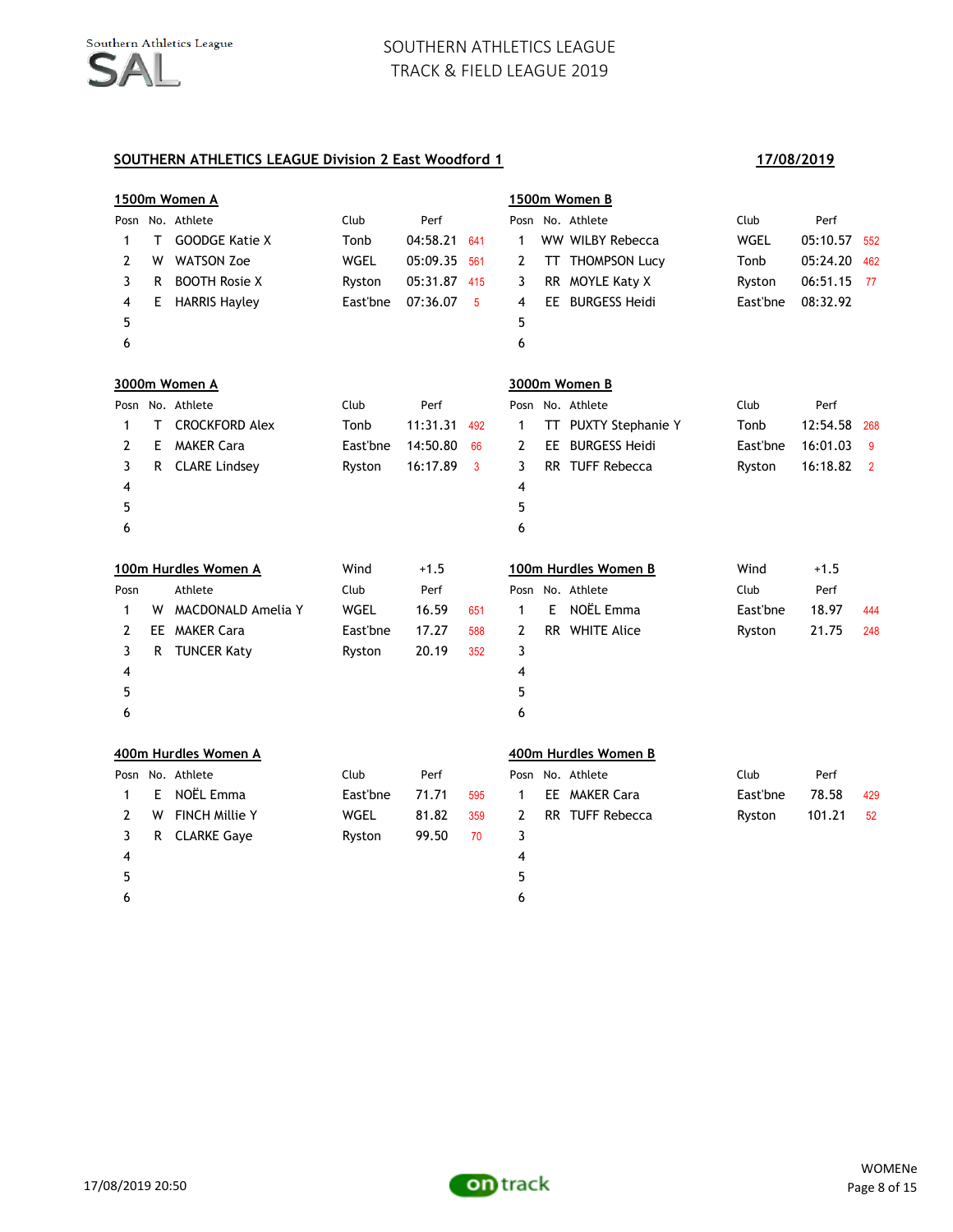|      | 1500m Women A        |                       |             |          |     | 1500m Women B |   |                      |          |          |                |
|------|----------------------|-----------------------|-------------|----------|-----|---------------|---|----------------------|----------|----------|----------------|
| Posn |                      | No. Athlete           | Club        | Perf     |     |               |   | Posn No. Athlete     | Club     | Perf     |                |
| 1    | Τ                    | <b>GOODGE Katie X</b> | Tonb        | 04:58.21 | 641 | 1             |   | WW WILBY Rebecca     | WGEL     | 05:10.57 | 552            |
| 2    | W                    | <b>WATSON Zoe</b>     | <b>WGEL</b> | 05:09.35 | 561 | 2             |   | TT THOMPSON Lucy     | Tonb     | 05:24.20 | 462            |
| 3    | R                    | <b>BOOTH Rosie X</b>  | Ryston      | 05:31.87 | 415 | 3             |   | RR MOYLE Katy X      | Ryston   | 06:51.15 | -77            |
| 4    | E.                   | <b>HARRIS Hayley</b>  | East'bne    | 07:36.07 | 5   | 4             |   | EE BURGESS Heidi     | East'bne | 08:32.92 |                |
| 5    |                      |                       |             |          |     | 5             |   |                      |          |          |                |
| 6    |                      |                       |             |          |     | 6             |   |                      |          |          |                |
|      |                      | 3000m Women A         |             |          |     |               |   | 3000m Women B        |          |          |                |
| Posn |                      | No. Athlete           | Club        | Perf     |     |               |   | Posn No. Athlete     | Club     | Perf     |                |
| 1    | т                    | <b>CROCKFORD Alex</b> | Tonb        | 11:31.31 | 492 | 1             |   | TT PUXTY Stephanie Y | Tonb     | 12:54.58 | 268            |
| 2    | E.                   | <b>MAKER Cara</b>     | East'bne    | 14:50.80 | 66  | 2             |   | EE BURGESS Heidi     | East'bne | 16:01.03 | 9              |
| 3    | R                    | <b>CLARE Lindsey</b>  | Ryston      | 16:17.89 | 3   | 3             |   | RR TUFF Rebecca      | Ryston   | 16:18.82 | $\overline{2}$ |
| 4    |                      |                       |             |          |     | 4             |   |                      |          |          |                |
| 5    |                      |                       |             |          |     | 5             |   |                      |          |          |                |
| 6    |                      |                       |             |          |     | 6             |   |                      |          |          |                |
|      | 100m Hurdles Women A |                       | Wind        | $+1.5$   |     |               |   | 100m Hurdles Women B | Wind     | $+1.5$   |                |
| Posn |                      | Athlete               | Club        | Perf     |     |               |   | Posn No. Athlete     | Club     | Perf     |                |
| 1    | W                    | MACDONALD Amelia Y    | WGEL        | 16.59    | 651 | $\mathbf{1}$  | E | NOËL Emma            | East'bne | 18.97    | 444            |
| 2    |                      | EE MAKER Cara         | East'bne    | 17.27    | 588 | 2             |   | RR WHITE Alice       | Ryston   | 21.75    | 248            |
| 3    | R                    | <b>TUNCER Katy</b>    | Ryston      | 20.19    | 352 | 3             |   |                      |          |          |                |
| 4    |                      |                       |             |          |     | 4             |   |                      |          |          |                |
| 5    |                      |                       |             |          |     | 5             |   |                      |          |          |                |
| 6    |                      |                       |             |          |     | 6             |   |                      |          |          |                |
|      |                      | 400m Hurdles Women A  |             |          |     |               |   | 400m Hurdles Women B |          |          |                |
|      |                      | Posn No. Athlete      | Club        | Perf     |     |               |   | Posn No. Athlete     | Club     | Perf     |                |
| 1    | E.                   | NOËL Emma             | East'bne    | 71.71    | 595 | $\mathbf{1}$  |   | EE MAKER Cara        | East'bne | 78.58    | 429            |
| 2    | W                    | <b>FINCH Millie Y</b> | WGEL        | 81.82    | 359 | 2             |   | RR TUFF Rebecca      | Ryston   | 101.21   | 52             |
| 3    | R                    | <b>CLARKE Gaye</b>    | Ryston      | 99.50    | 70  | 3             |   |                      |          |          |                |
| 4    |                      |                       |             |          |     | 4             |   |                      |          |          |                |
| 5    |                      |                       |             |          |     | 5             |   |                      |          |          |                |
| 6    |                      |                       |             |          |     | 6             |   |                      |          |          |                |

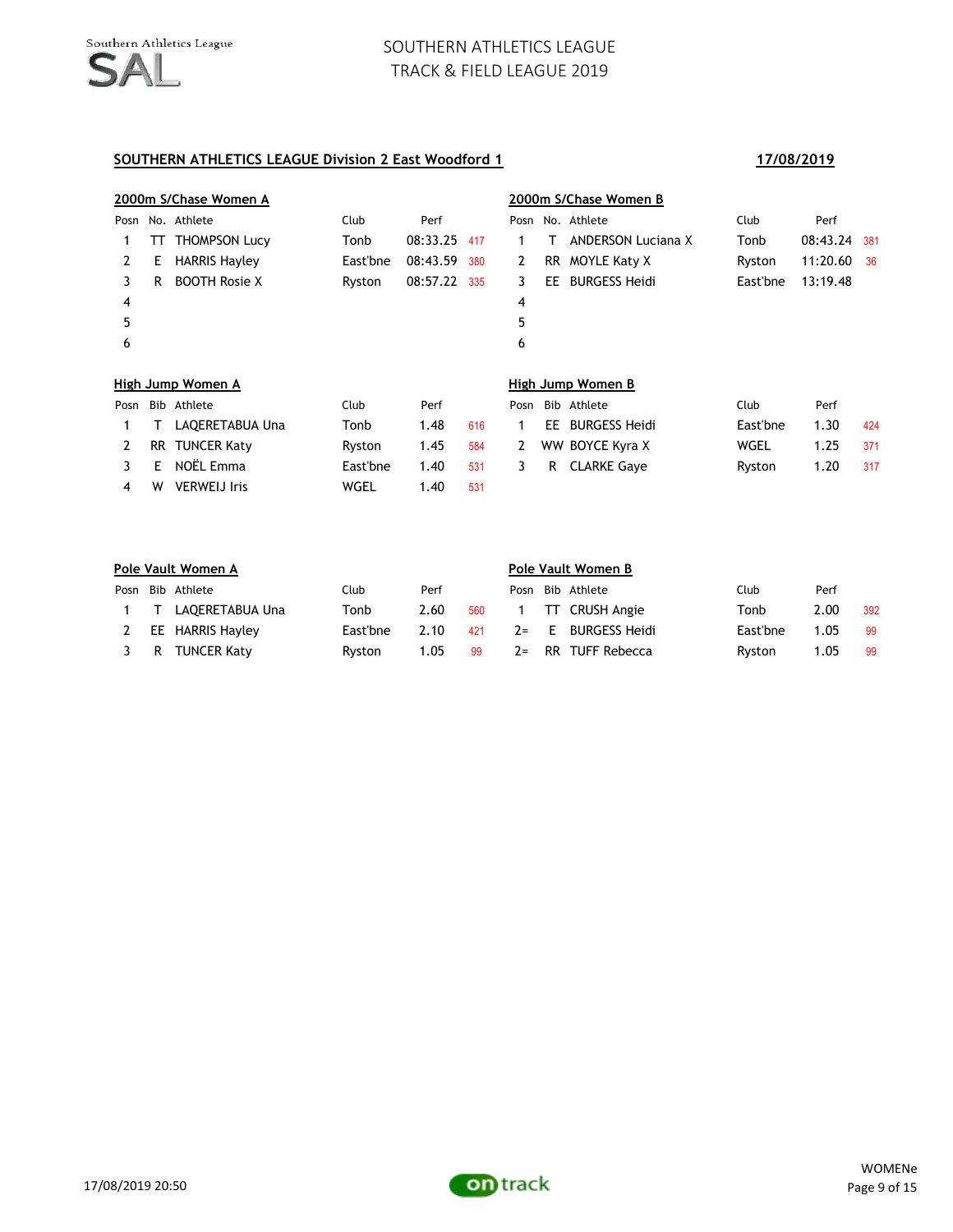#### **SOUTHERN ATHLETICS LEAGUE Division 2 East Woodford 1 17/08/2019**

4 W VERWEIJ Iris WGEL 1.40 531

# **2000m S/Chase Women A 2000m S/Chase Women B** Posn No. Athlete **Club** Club Perf Posn No. Athlete **Club** Perf 1 TT THOMPSON Lucy Tonb 08:33.25 417 1 T ANDERSON Luciana X Tonb 08:43.24 381 2 E HARRIS Hayley East'bne 08:43.59 380 2 RR MOYLE Katy X Ryston 11:20.60 36 3 R BOOTH Rosie X Ryston 08:57.22 335 3 EE BURGESS Heidi East'bne 13:19.48 4 4  $5$  5  $6$ **High Jump Women A High Jump Women B** Posn Bib Athlete Club Perf Posn Bib Athlete Club Perf 1 T LAQERETABUA Una Tonb 1.48 616 1 EE BURGESS Heidi East'bne 1.30 424 2 RR TUNCER Katy **Ryston 1.45 584 2 WW BOYCE Kyra X** WGEL 1.25 371 3 E NOËL Emma East'bne 1.40 531 3 R CLARKE Gaye Ryston 1.20 317

|     | Pole Vault Women A  |          |      |     | Pole Vault Women B |  |                  |          |      |     |  |
|-----|---------------------|----------|------|-----|--------------------|--|------------------|----------|------|-----|--|
|     | Posn Bib Athlete    | Club     | Perf |     | Posn               |  | Bib Athlete      | Club     | Perf |     |  |
|     | 1 T LAOERETABUA Una | Tonb     | 2.60 | 560 |                    |  | 1 TT CRUSH Angie | Tonb     | 2.00 | 392 |  |
| 2   | EE HARRIS Hayley    | East'bne | 2.10 | 421 | $2=$               |  | E BURGESS Heidi  | East'bne | 1.05 | -99 |  |
| 3 R | <b>TUNCER Katy</b>  | Rvston   | 1.05 | -99 | $2 =$              |  | RR TUFF Rebecca  | Ryston   | 1.05 | -99 |  |

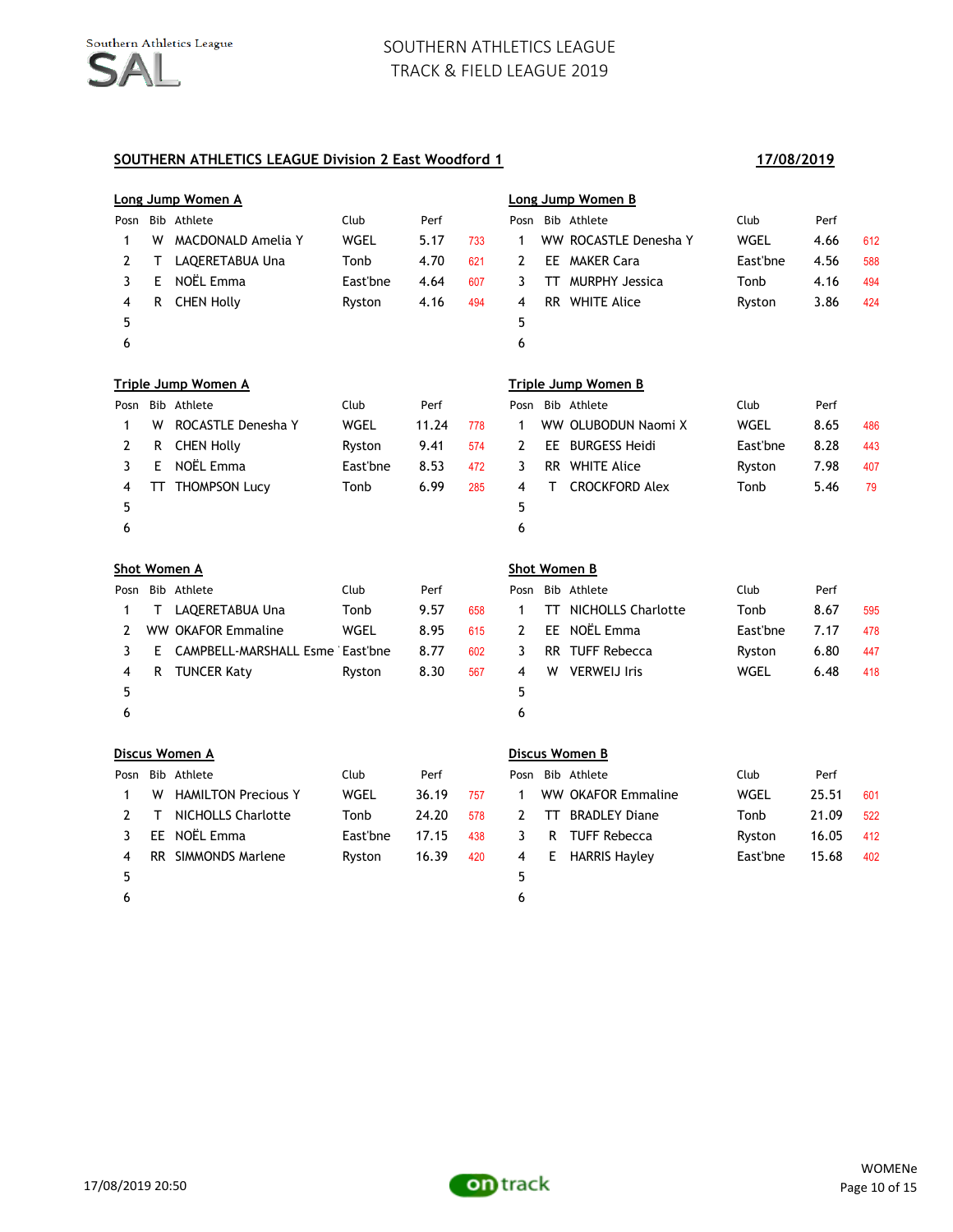#### **SOUTHERN ATHLETICS LEAGUE Division 2 East Woodford 1 17/08/2019**

# **Long Jump Women A Long Jump Women B** Posn Bib Athlete Club Perf Posn Bib Athlete Club Perf 1 W MACDONALD Amelia Y WGEL 5.17 733 1 WW ROCASTLE Denesha Y WGEL 4.66 612 2 T LAQERETABUA Una Tonb 4.70 621 2 EE MAKER Cara Cast'bne 4.56 588 3 E NOËL Emma East'bne 4.64 607 3 TT MURPHY Jessica Tonb 4.16 494 4 R CHEN Holly Ryston 4.16 494 4 RR WHITE Alice Ryston 3.86 424  $5$  5  $6$ **Triple Jump Women A Triple Jump Women B** Posn Bib Athlete Club Perf Posn Bib Athlete Club Perf 1 W ROCASTLE Denesha Y WGEL 11.24 778 1 WW OLUBODUN Naomi X WGEL 8.65 486 2 R CHEN Holly **Ryston** 9.41 574 2 EE BURGESS Heidi **East**'bne 8.28 443 3 E NOËL Emma East'bne 8.53 472 3 RR WHITE Alice Ryston 7.98 407 4 TT THOMPSON Lucy Tonb 6.99 285 4 T CROCKFORD Alex Tonb 5.46 79  $5$  5  $6$ **Shot Women A Shot Women B** Posn Bib Athlete Club Perf Posn Bib Athlete Club Perf 1 T LAQERETABUA Una Tonb 9.57 658 1 TT NICHOLLS Charlotte Tonb 8.67 595 2 WW OKAFOR Emmaline WGEL 8.95 615 2 EE NOËL Emma East'bne 7.17 478 3 E CAMPBELL-MARSHALL Esme East'bne 8.77 602 3 RR TUFF Rebecca Byston 6.80 447 4 R TUNCER Katy Ryston 8.30 567 4 W VERWEIJ Iris WGEL 6.48 418  $5$  5  $6$ **Discus Women A Discus Women B** Posn Bib Athlete Club Perf Posn Bib Athlete Club Perf 1 W HAMILTON Precious Y WGEL 36.19 757 1 WW OKAFOR Emmaline WGEL 25.51 601 2 T NICHOLLS Charlotte Tonb 24.20 578 2 TT BRADLEY Diane Tonb 21.09 522 3 EE NOËL Emma East'bne 17.15 438 3 R TUFF Rebecca Ryston 16.05 412 4 RR SIMMONDS Marlene Ryston 16.39 420 4 E HARRIS Hayley East'bne 15.68 402  $5$

17/08/2019 20:50

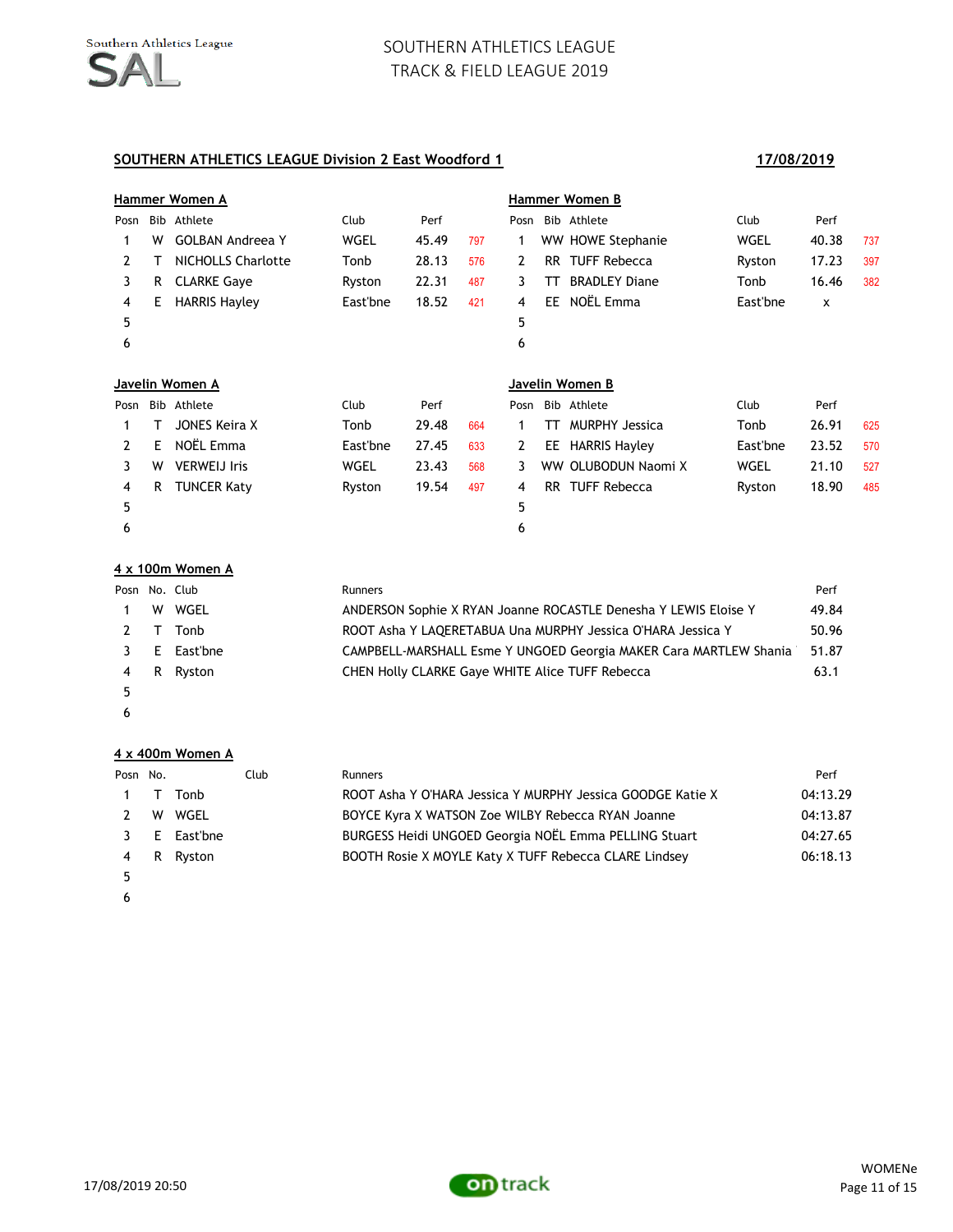#### **SOUTHERN ATHLETICS LEAGUE Division 2 East Woodford 1 17/08/2019**

|              |     | Hammer Women A          |          |       |     |      |    | Hammer Women B        |          |       |     |
|--------------|-----|-------------------------|----------|-------|-----|------|----|-----------------------|----------|-------|-----|
| Posn         |     | Bib Athlete             | Club     | Perf  |     |      |    | Posn Bib Athlete      | Club     | Perf  |     |
|              | W   | <b>GOLBAN Andreea Y</b> | WGEL     | 45.49 | 797 | 1    |    | WW HOWE Stephanie     | WGEL     | 40.38 | 737 |
| $\mathbf{2}$ |     | NICHOLLS Charlotte      | Tonb     | 28.13 | 576 | 2    |    | RR TUFF Rebecca       | Ryston   | 17.23 | 397 |
| 3            | R.  | <b>CLARKE Gave</b>      | Ryston   | 22.31 | 487 | 3    | TΤ | <b>BRADLEY Diane</b>  | Tonb     | 16.46 | 382 |
| 4            | Е   | <b>HARRIS Hayley</b>    | East'bne | 18.52 | 421 | 4    |    | EE NOËL Emma          | East'bne | x     |     |
| 5            |     |                         |          |       |     | 5    |    |                       |          |       |     |
| 6            |     |                         |          |       |     | 6    |    |                       |          |       |     |
|              |     | Javelin Women A         |          |       |     |      |    | Javelin Women B       |          |       |     |
| Posn         | Bib | Athlete                 | Club     | Perf  |     | Posn |    | Bib Athlete           | Club     | Perf  |     |
|              |     | JONES Keira X           | Tonb     | 29.48 | 664 | 1    | π  | <b>MURPHY Jessica</b> | Tonb     | 26.91 | 625 |
| $\mathbf{2}$ | E.  | NOËL Emma               | East'bne | 27.45 | 633 | 2    | EE | <b>HARRIS Hayley</b>  | East'bne | 23.52 | 570 |
| 3            | W   | <b>VERWEIJ Iris</b>     | WGEL     | 23.43 | 568 | 3    |    | WW OLUBODUN Naomi X   | WGEL     | 21.10 | 527 |
| 4            | R   | <b>TUNCER Katy</b>      | Ryston   | 19.54 | 497 | 4    |    | RR TUFF Rebecca       | Ryston   | 18.90 | 485 |
| 5            |     |                         |          |       |     | 5    |    |                       |          |       |     |
| 6            |     |                         |          |       |     | 6    |    |                       |          |       |     |

#### **4 x 100m Women A**

| Posn No. Club |              | <b>Runners</b>                                                    | Perf  |
|---------------|--------------|-------------------------------------------------------------------|-------|
|               | W WGEL       | ANDERSON Sophie X RYAN Joanne ROCASTLE Denesha Y LEWIS Eloise Y   | 49.84 |
|               | 2 T Tonb     | ROOT Asha Y LAQERETABUA Una MURPHY Jessica O'HARA Jessica Y       | 50.96 |
|               | 3 E East'bne | CAMPBELL-MARSHALL Esme Y UNGOED Georgia MAKER Cara MARTLEW Shania | 51.87 |
|               | 4 R Ryston   | CHEN Holly CLARKE Gaye WHITE Alice TUFF Rebecca                   | 63.1  |
| 5             |              |                                                                   |       |

 $\epsilon$ 

#### **4 x 400m Women A**

| Posn No. |     |              | Club | <b>Runners</b>                                             | Perf     |
|----------|-----|--------------|------|------------------------------------------------------------|----------|
|          |     | 1 T Tonb     |      | ROOT Asha Y O'HARA Jessica Y MURPHY Jessica GOODGE Katie X | 04:13.29 |
|          |     | 2 W WGEL     |      | BOYCE Kyra X WATSON Zoe WILBY Rebecca RYAN Joanne          | 04:13.87 |
|          |     | 3 E East'bne |      | BURGESS Heidi UNGOED Georgia NOËL Emma PELLING Stuart      | 04:27.65 |
|          | 4 R | Rvston       |      | BOOTH Rosie X MOYLE Katy X TUFF Rebecca CLARE Lindsey      | 06:18.13 |
|          |     |              |      |                                                            |          |

 $\epsilon$ 

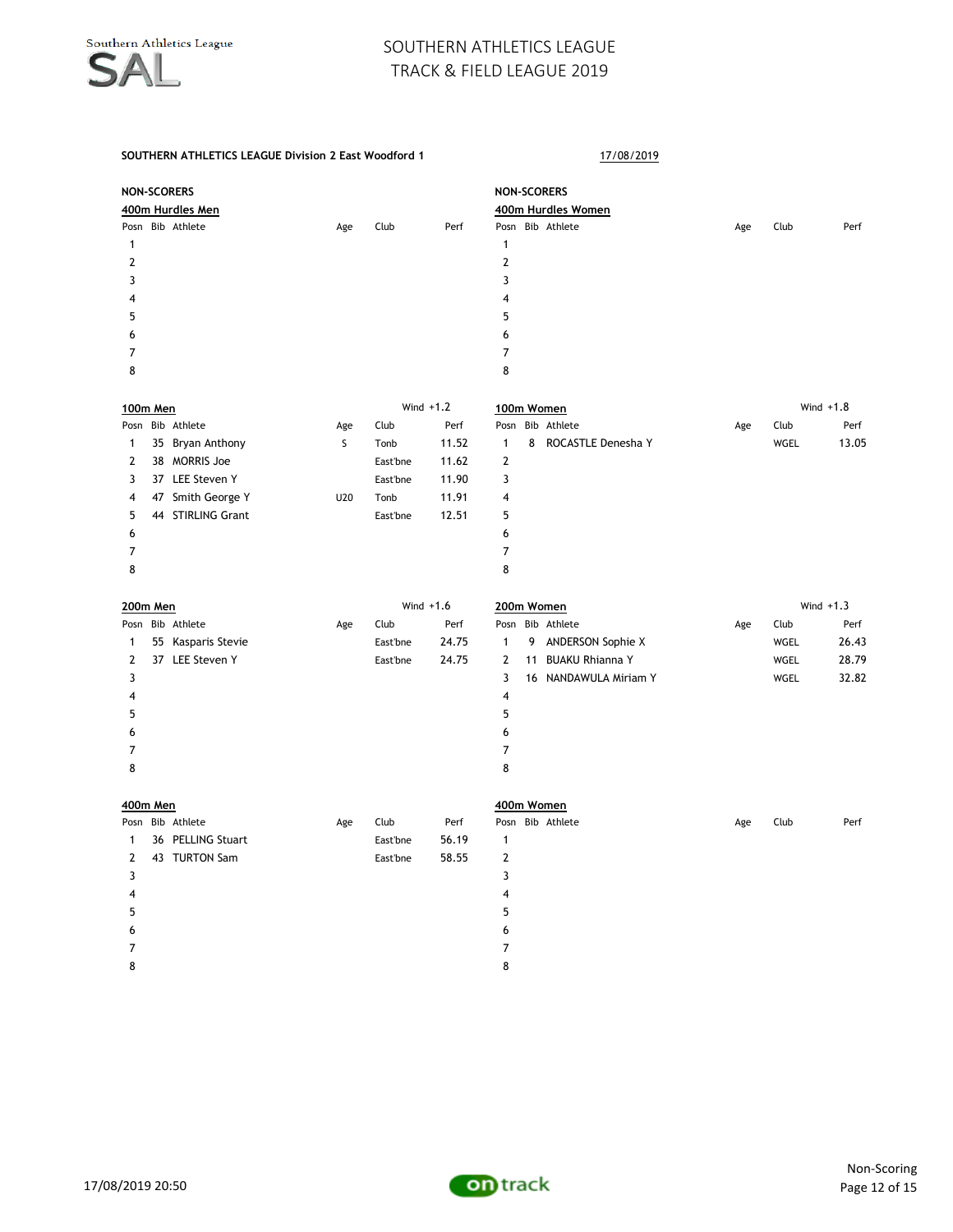#### **SOUTHERN ATHLETICS LEAGUE Division 2 East Woodford 1** 17/08/2019

|                     | <b>NON-SCORERS</b> |     |          |             | <b>NON-SCORERS</b>                      |     |      |             |
|---------------------|--------------------|-----|----------|-------------|-----------------------------------------|-----|------|-------------|
|                     | 400m Hurdles Men   |     |          |             | 400m Hurdles Women                      |     |      |             |
|                     | Posn Bib Athlete   | Age | Club     | Perf        | Posn Bib Athlete                        | Age | Club | Perf        |
| $\mathbf{1}$        |                    |     |          |             | $\mathbf{1}$                            |     |      |             |
| $\overline{2}$      |                    |     |          |             | 2                                       |     |      |             |
| 3                   |                    |     |          |             | 3                                       |     |      |             |
| 4<br>5              |                    |     |          |             | 4                                       |     |      |             |
|                     |                    |     |          |             | 5<br>6                                  |     |      |             |
| 6<br>$\overline{7}$ |                    |     |          |             | $\overline{7}$                          |     |      |             |
| 8                   |                    |     |          |             | 8                                       |     |      |             |
|                     | 100m Men           |     |          | Wind $+1.2$ | 100m Women                              |     |      | Wind $+1.8$ |
|                     | Posn Bib Athlete   | Age | Club     | Perf        | Posn Bib Athlete                        | Age | Club | Perf        |
| $\mathbf{1}$        | 35 Bryan Anthony   | S   | Tonb     | 11.52       | 8<br>ROCASTLE Denesha Y<br>$\mathbf{1}$ |     | WGEL | 13.05       |
| 2                   | 38 MORRIS Joe      |     | East'bne | 11.62       | $\mathbf{2}$                            |     |      |             |
| 3                   | 37 LEE Steven Y    |     | East'bne | 11.90       | 3                                       |     |      |             |
| 4                   | 47 Smith George Y  | U20 | Tonb     | 11.91       | 4                                       |     |      |             |
| 5                   | 44 STIRLING Grant  |     | East'bne | 12.51       | 5                                       |     |      |             |
| 6                   |                    |     |          |             | 6                                       |     |      |             |
| 7                   |                    |     |          |             | $\overline{7}$                          |     |      |             |
| 8                   |                    |     |          |             | 8                                       |     |      |             |
|                     | <b>200m Men</b>    |     |          | Wind $+1.6$ | 200m Women                              |     |      | Wind $+1.3$ |
|                     | Posn Bib Athlete   | Age | Club     | Perf        | Posn Bib Athlete                        | Age | Club | Perf        |
| 1                   | 55 Kasparis Stevie |     | East'bne | 24.75       | 9 ANDERSON Sophie X<br>$\mathbf{1}$     |     | WGEL | 26.43       |
| $\mathbf{2}$        | 37 LEE Steven Y    |     | East'bne | 24.75       | 11 BUAKU Rhianna Y<br>2                 |     | WGEL | 28.79       |
| 3                   |                    |     |          |             | 3<br>16 NANDAWULA Miriam Y              |     | WGEL | 32.82       |
| 4                   |                    |     |          |             | 4                                       |     |      |             |
| 5                   |                    |     |          |             | 5                                       |     |      |             |
| 6                   |                    |     |          |             | 6                                       |     |      |             |
| $\overline{7}$      |                    |     |          |             | $\overline{7}$                          |     |      |             |
| 8                   |                    |     |          |             | 8                                       |     |      |             |
|                     | 400m Men           |     |          |             | 400m Women                              |     |      |             |
|                     | Posn Bib Athlete   | Age | Club     | Perf        | Posn Bib Athlete                        | Age | Club | Perf        |
| $\mathbf{1}$        | 36 PELLING Stuart  |     | East'bne | 56.19       | $\mathbf{1}$                            |     |      |             |
| $\overline{2}$      | 43 TURTON Sam      |     | East'bne | 58.55       | $\overline{2}$                          |     |      |             |
| 3                   |                    |     |          |             | 3                                       |     |      |             |
| 4                   |                    |     |          |             | 4                                       |     |      |             |
| 5                   |                    |     |          |             | 5                                       |     |      |             |

 7 8

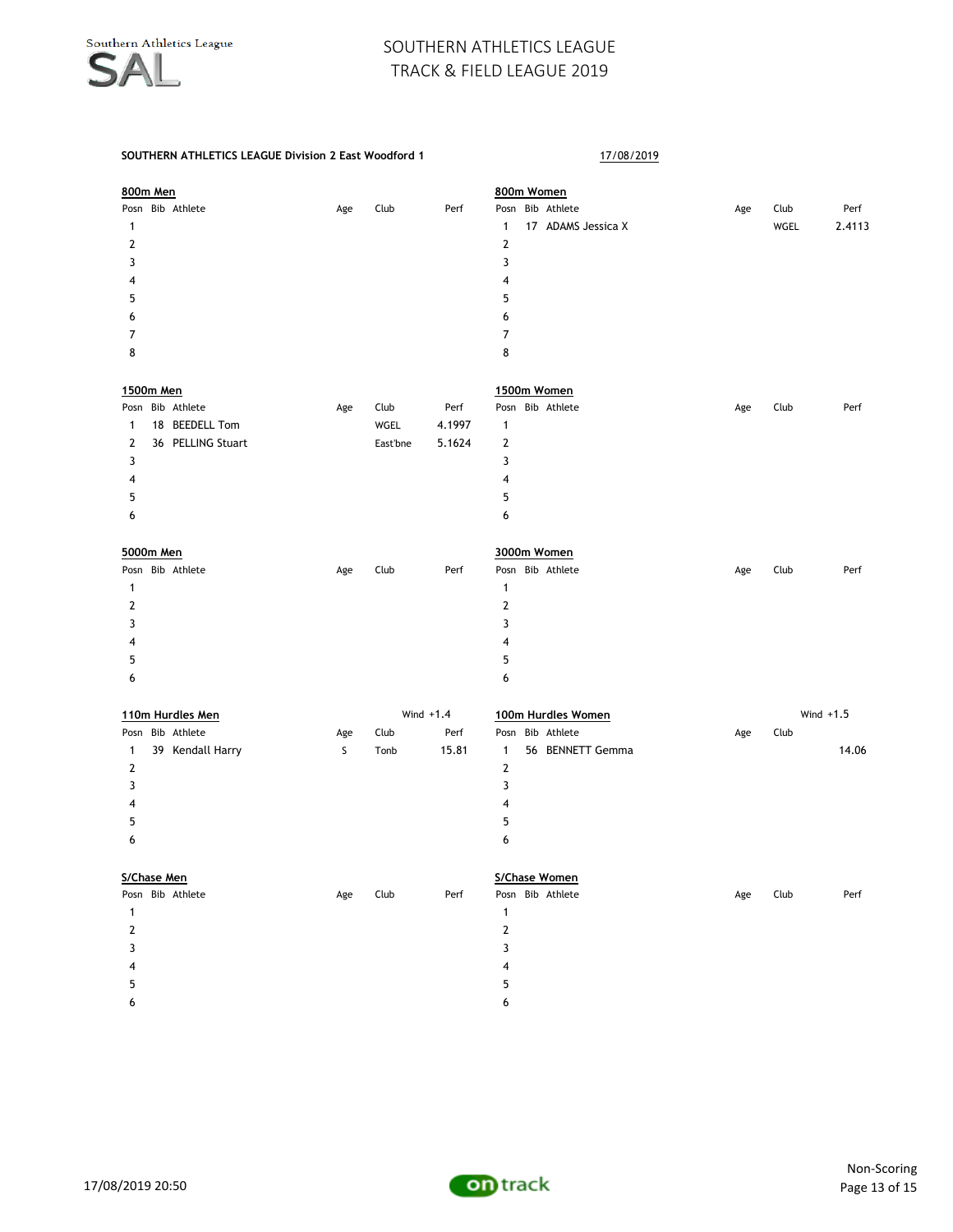| 800m Men               |     |             |        |              | 800m Women         |     |             |        |
|------------------------|-----|-------------|--------|--------------|--------------------|-----|-------------|--------|
| Posn Bib Athlete       | Age | Club        | Perf   |              | Posn Bib Athlete   | Age | Club        | Perf   |
| 1                      |     |             |        | $\mathbf{1}$ | 17 ADAMS Jessica X |     | WGEL        | 2.4113 |
| 2                      |     |             |        | 2            |                    |     |             |        |
| 3                      |     |             |        | 3            |                    |     |             |        |
| 4                      |     |             |        | 4            |                    |     |             |        |
| 5                      |     |             |        | 5            |                    |     |             |        |
| 6                      |     |             |        | 6            |                    |     |             |        |
| 7                      |     |             |        | 7            |                    |     |             |        |
| 8                      |     |             |        | 8            |                    |     |             |        |
|                        |     |             |        |              |                    |     |             |        |
| 1500m Men              |     |             |        |              | 1500m Women        |     |             |        |
| Posn Bib Athlete       | Age | Club        | Perf   |              | Posn Bib Athlete   | Age | Club        | Perf   |
| 18 BEEDELL Tom<br>1    |     | WGEL        | 4.1997 | 1            |                    |     |             |        |
| 36 PELLING Stuart<br>2 |     | East'bne    | 5.1624 | 2            |                    |     |             |        |
| 3                      |     |             |        | 3            |                    |     |             |        |
| 4                      |     |             |        | 4            |                    |     |             |        |
| 5                      |     |             |        | 5            |                    |     |             |        |
| 6                      |     |             |        | 6            |                    |     |             |        |
|                        |     |             |        |              |                    |     |             |        |
| 5000m Men              |     |             |        |              | 3000m Women        |     |             |        |
| Posn Bib Athlete       | Age | Club        | Perf   |              | Posn Bib Athlete   | Age | Club        | Perf   |
| 1                      |     |             |        | $\mathbf{1}$ |                    |     |             |        |
| 2                      |     |             |        | 2            |                    |     |             |        |
| 3                      |     |             |        | 3            |                    |     |             |        |
| 4                      |     |             |        | 4            |                    |     |             |        |
| 5                      |     |             |        | 5            |                    |     |             |        |
| 6                      |     |             |        | 6            |                    |     |             |        |
|                        |     |             |        |              |                    |     |             |        |
| 110m Hurdles Men       |     | Wind $+1.4$ |        |              | 100m Hurdles Women |     | Wind $+1.5$ |        |
| Posn Bib Athlete       | Age | Club        | Perf   |              | Posn Bib Athlete   | Age | Club        |        |
| 39 Kendall Harry<br>1  | S   | Tonb        | 15.81  | 1            | 56 BENNETT Gemma   |     |             | 14.06  |
| 2                      |     |             |        | $\mathbf{2}$ |                    |     |             |        |
| 3                      |     |             |        | 3            |                    |     |             |        |
| 4                      |     |             |        | 4            |                    |     |             |        |
| 5                      |     |             |        | 5            |                    |     |             |        |
| 6                      |     |             |        | 6            |                    |     |             |        |
|                        |     |             |        |              |                    |     |             |        |
| S/Chase Men            |     |             |        |              | S/Chase Women      |     |             |        |
| Posn Bib Athlete       | Age | Club        | Perf   |              | Posn Bib Athlete   | Age | Club        | Perf   |
| $\mathbf{1}$           |     |             |        | 1            |                    |     |             |        |
| $\mathbf{2}$           |     |             |        | 2            |                    |     |             |        |
| 3                      |     |             |        | 3            |                    |     |             |        |
| 4                      |     |             |        | 4            |                    |     |             |        |
| 5                      |     |             |        | 5            |                    |     |             |        |
| 6                      |     |             |        | 6            |                    |     |             |        |
|                        |     |             |        |              |                    |     |             |        |

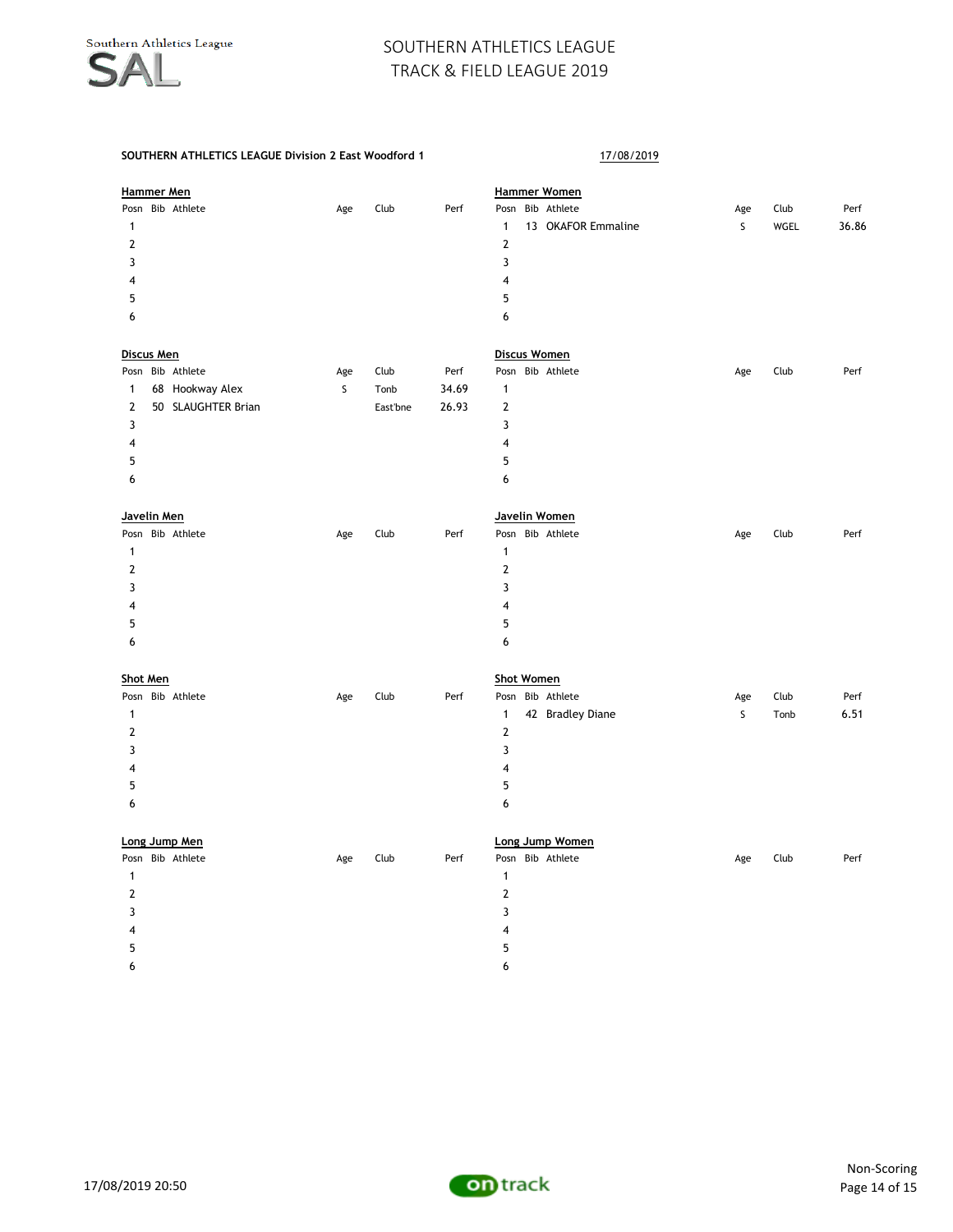| Hammer Men      |  |                    |     |          |       | <b>Hammer Women</b> |                   |                     |     |      |       |  |
|-----------------|--|--------------------|-----|----------|-------|---------------------|-------------------|---------------------|-----|------|-------|--|
|                 |  | Posn Bib Athlete   | Age | Club     | Perf  |                     |                   | Posn Bib Athlete    | Age | Club | Perf  |  |
| $\mathbf{1}$    |  |                    |     |          |       | $\mathbf{1}$        |                   | 13 OKAFOR Emmaline  | S   | WGEL | 36.86 |  |
| $\overline{2}$  |  |                    |     |          |       | $\overline{2}$      |                   |                     |     |      |       |  |
| 3               |  |                    |     |          |       | 3                   |                   |                     |     |      |       |  |
| 4               |  |                    |     |          |       | 4                   |                   |                     |     |      |       |  |
| 5               |  |                    |     |          |       | 5                   |                   |                     |     |      |       |  |
| 6               |  |                    |     |          |       | 6                   |                   |                     |     |      |       |  |
| Discus Men      |  |                    |     |          |       |                     |                   | <b>Discus Women</b> |     |      |       |  |
|                 |  | Posn Bib Athlete   | Age | Club     | Perf  |                     |                   | Posn Bib Athlete    | Age | Club | Perf  |  |
| 1               |  | 68 Hookway Alex    | S   | Tonb     | 34.69 | $\mathbf{1}$        |                   |                     |     |      |       |  |
| $\mathbf{2}$    |  | 50 SLAUGHTER Brian |     | East'bne | 26.93 | $\overline{2}$      |                   |                     |     |      |       |  |
| 3               |  |                    |     |          |       | 3                   |                   |                     |     |      |       |  |
| 4               |  |                    |     |          |       | 4                   |                   |                     |     |      |       |  |
| 5               |  |                    |     |          |       | 5                   |                   |                     |     |      |       |  |
| 6               |  |                    |     |          |       | 6                   |                   |                     |     |      |       |  |
| Javelin Men     |  |                    |     |          |       |                     |                   | Javelin Women       |     |      |       |  |
|                 |  | Posn Bib Athlete   | Age | Club     | Perf  |                     |                   | Posn Bib Athlete    | Age | Club | Perf  |  |
| $\mathbf{1}$    |  |                    |     |          |       | $\mathbf{1}$        |                   |                     |     |      |       |  |
| 2               |  |                    |     |          |       | $\overline{2}$      |                   |                     |     |      |       |  |
|                 |  |                    |     |          |       |                     |                   |                     |     |      |       |  |
| 3               |  |                    |     |          |       | 3                   |                   |                     |     |      |       |  |
| 4               |  |                    |     |          |       | $\overline{4}$      |                   |                     |     |      |       |  |
| 5               |  |                    |     |          |       | 5                   |                   |                     |     |      |       |  |
| 6               |  |                    |     |          |       | 6                   |                   |                     |     |      |       |  |
| <b>Shot Men</b> |  |                    |     |          |       |                     | <b>Shot Women</b> |                     |     |      |       |  |
|                 |  | Posn Bib Athlete   | Age | Club     | Perf  |                     |                   | Posn Bib Athlete    | Age | Club | Perf  |  |
| $\mathbf{1}$    |  |                    |     |          |       | $\mathbf{1}$        |                   | 42 Bradley Diane    | S   | Tonb | 6.51  |  |
| $\mathbf 2$     |  |                    |     |          |       | $\mathbf 2$         |                   |                     |     |      |       |  |
| 3               |  |                    |     |          |       | 3                   |                   |                     |     |      |       |  |
| 4               |  |                    |     |          |       | $\overline{4}$      |                   |                     |     |      |       |  |
| 5               |  |                    |     |          |       | 5                   |                   |                     |     |      |       |  |
| 6               |  |                    |     |          |       | 6                   |                   |                     |     |      |       |  |
|                 |  | Long Jump Men      |     |          |       |                     |                   | Long Jump Women     |     |      |       |  |
|                 |  | Posn Bib Athlete   | Age | Club     | Perf  |                     |                   | Posn Bib Athlete    | Age | Club | Perf  |  |
| $\mathbf{1}$    |  |                    |     |          |       | $\mathbf{1}$        |                   |                     |     |      |       |  |
| $\mathbf{2}$    |  |                    |     |          |       | $\overline{2}$      |                   |                     |     |      |       |  |
| 3               |  |                    |     |          |       | 3                   |                   |                     |     |      |       |  |
| 4               |  |                    |     |          |       | 4                   |                   |                     |     |      |       |  |
| 5               |  |                    |     |          |       | 5                   |                   |                     |     |      |       |  |
| 6               |  |                    |     |          |       | 6                   |                   |                     |     |      |       |  |